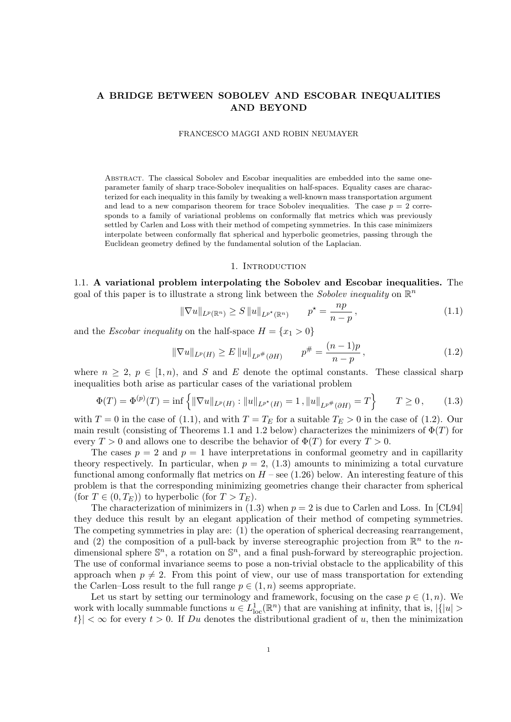# **A BRIDGE BETWEEN SOBOLEV AND ESCOBAR INEQUALITIES AND BEYOND**

#### FRANCESCO MAGGI AND ROBIN NEUMAYER

Abstract. The classical Sobolev and Escobar inequalities are embedded into the same oneparameter family of sharp trace-Sobolev inequalities on half-spaces. Equality cases are characterized for each inequality in this family by tweaking a well-known mass transportation argument and lead to a new comparison theorem for trace Sobolev inequalities. The case  $p = 2$  corresponds to a family of variational problems on conformally flat metrics which was previously settled by Carlen and Loss with their method of competing symmetries. In this case minimizers interpolate between conformally flat spherical and hyperbolic geometries, passing through the Euclidean geometry defined by the fundamental solution of the Laplacian.

#### 1. INTRODUCTION

1.1. **A variational problem interpolating the Sobolev and Escobar inequalities.** The goal of this paper is to illustrate a strong link between the *Sobolev inequality* on R *n*

$$
\|\nabla u\|_{L^p(\mathbb{R}^n)} \ge S \|u\|_{L^{p^*}(\mathbb{R}^n)} \qquad p^* = \frac{np}{n-p},
$$
\n(1.1)

and the *Escobar inequality* on the half-space  $H = \{x_1 > 0\}$ 

$$
\|\nabla u\|_{L^p(H)} \ge E \|u\|_{L^{p^*}(\partial H)} \qquad p^{\#} = \frac{(n-1)p}{n-p}, \qquad (1.2)
$$

where  $n \geq 2$ ,  $p \in [1, n)$ , and *S* and *E* denote the optimal constants. These classical sharp inequalities both arise as particular cases of the variational problem

$$
\Phi(T) = \Phi^{(p)}(T) = \inf \left\{ \|\nabla u\|_{L^p(H)} : \|u\|_{L^{p^*}(H)} = 1, \|u\|_{L^{p^*}(\partial H)} = T \right\} \qquad T \ge 0, \tag{1.3}
$$

with  $T = 0$  in the case of (1.1), and with  $T = T_E$  for a suitable  $T_E > 0$  in the case of (1.2). Our main result (consisting of Theorems 1.1 and 1.2 below) characterizes the minimizers of Φ(*T*) for every  $T > 0$  and allows one to describe the behavior of  $\Phi(T)$  for every  $T > 0$ .

The cases  $p = 2$  and  $p = 1$  have interpretations in conformal geometry and in capillarity theory respectively. In particular, when  $p = 2$ , (1.3) amounts to minimizing a total curvature functional among conformally flat metrics on  $H$  – see (1.26) below. An interesting feature of this problem is that the corresponding minimizing geometries change their character from spherical (for  $T \in (0, T_E)$ ) to hyperbolic (for  $T > T_E$ ).

The characterization of minimizers in  $(1.3)$  when  $p = 2$  is due to Carlen and Loss. In [CL94] they deduce this result by an elegant application of their method of competing symmetries. The competing symmetries in play are: (1) the operation of spherical decreasing rearrangement, and (2) the composition of a pull-back by inverse stereographic projection from  $\mathbb{R}^n$  to the *n*dimensional sphere  $\mathbb{S}^n$ , a rotation on  $\mathbb{S}^n$ , and a final push-forward by stereographic projection. The use of conformal invariance seems to pose a non-trivial obstacle to the applicability of this approach when  $p \neq 2$ . From this point of view, our use of mass transportation for extending the Carlen–Loss result to the full range  $p \in (1, n)$  seems appropriate.

Let us start by setting our terminology and framework, focusing on the case  $p \in (1, n)$ . We work with locally summable functions  $u \in L^1_{loc}(\mathbb{R}^n)$  that are vanishing at infinity, that is,  $|\{|u| >$  $|t| < \infty$  for every  $t > 0$ . If *Du* denotes the distributional gradient of *u*, then the minimization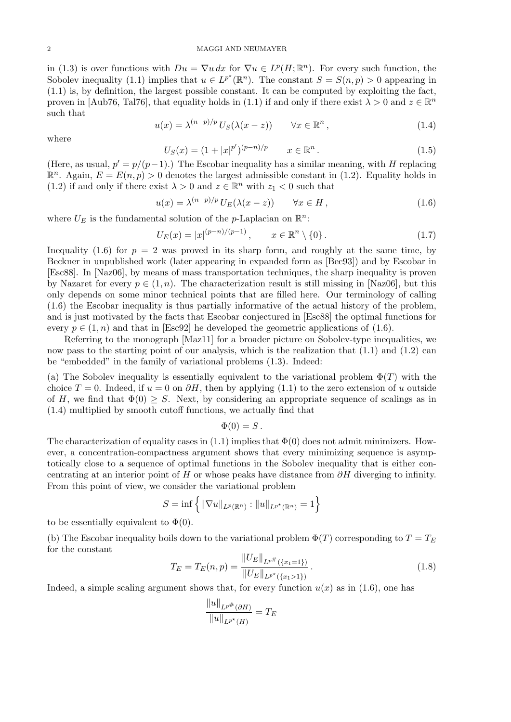in (1.3) is over functions with  $Du = \nabla u \, dx$  for  $\nabla u \in L^p(H; \mathbb{R}^n)$ . For every such function, the Sobolev inequality (1.1) implies that  $u \in L^{p^*}(\mathbb{R}^n)$ . The constant  $S = S(n, p) > 0$  appearing in (1.1) is, by definition, the largest possible constant. It can be computed by exploiting the fact, proven in [Aub76, Tal76], that equality holds in (1.1) if and only if there exist  $\lambda > 0$  and  $z \in \mathbb{R}^n$ such that

$$
u(x) = \lambda^{(n-p)/p} U_S(\lambda(x-z)) \qquad \forall x \in \mathbb{R}^n,
$$
\n(1.4)

where

$$
U_S(x) = (1 + |x|^{p'})^{(p-n)/p} \qquad x \in \mathbb{R}^n. \tag{1.5}
$$

(Here, as usual,  $p' = p/(p-1)$ .) The Escobar inequality has a similar meaning, with *H* replacing  $\mathbb{R}^n$ . Again,  $E = E(n, p) > 0$  denotes the largest admissible constant in (1.2). Equality holds in (1.2) if and only if there exist  $\lambda > 0$  and  $z \in \mathbb{R}^n$  with  $z_1 < 0$  such that

$$
u(x) = \lambda^{(n-p)/p} U_E(\lambda(x-z)) \qquad \forall x \in H,
$$
\n(1.6)

where  $U_E$  is the fundamental solution of the *p*-Laplacian on  $\mathbb{R}^n$ :

$$
U_E(x) = |x|^{(p-n)/(p-1)}, \qquad x \in \mathbb{R}^n \setminus \{0\}.
$$
 (1.7)

Inequality (1.6) for  $p = 2$  was proved in its sharp form, and roughly at the same time, by Beckner in unpublished work (later appearing in expanded form as [Bec93]) and by Escobar in [Esc88]. In [Naz06], by means of mass transportation techniques, the sharp inequality is proven by Nazaret for every  $p \in (1, n)$ . The characterization result is still missing in [Naz06], but this only depends on some minor technical points that are filled here. Our terminology of calling (1.6) the Escobar inequality is thus partially informative of the actual history of the problem, and is just motivated by the facts that Escobar conjectured in [Esc88] the optimal functions for every  $p \in (1, n)$  and that in [Esc92] he developed the geometric applications of (1.6).

Referring to the monograph [Maz11] for a broader picture on Sobolev-type inequalities, we now pass to the starting point of our analysis, which is the realization that  $(1.1)$  and  $(1.2)$  can be "embedded" in the family of variational problems (1.3). Indeed:

(a) The Sobolev inequality is essentially equivalent to the variational problem  $\Phi(T)$  with the choice  $T = 0$ . Indeed, if  $u = 0$  on  $\partial H$ , then by applying (1.1) to the zero extension of *u* outside of *H*, we find that  $\Phi(0) \geq S$ . Next, by considering an appropriate sequence of scalings as in (1.4) multiplied by smooth cutoff functions, we actually find that

### $\Phi(0) = S$ .

The characterization of equality cases in  $(1.1)$  implies that  $\Phi(0)$  does not admit minimizers. However, a concentration-compactness argument shows that every minimizing sequence is asymptotically close to a sequence of optimal functions in the Sobolev inequality that is either concentrating at an interior point of *H* or whose peaks have distance from *∂H* diverging to infinity. From this point of view, we consider the variational problem

$$
S = \inf \left\{ ||\nabla u||_{L^p(\mathbb{R}^n)} : ||u||_{L^{p^{\star}}(\mathbb{R}^n)} = 1 \right\}
$$

to be essentially equivalent to  $\Phi(0)$ .

(b) The Escobar inequality boils down to the variational problem  $\Phi(T)$  corresponding to  $T = T_E$ for the constant *∥UE∥*

$$
T_E = T_E(n, p) = \frac{\|U_E\|_{L^{p^*}(\{x_1 = 1\})}}{\|U_E\|_{L^{p^*}(\{x_1 > 1\})}}.
$$
\n(1.8)

Indeed, a simple scaling argument shows that, for every function  $u(x)$  as in (1.6), one has

*∥u∥*

$$
\frac{\|u\|_{L^{p^*}(\partial H)}}{\|u\|_{L^{p^*}(H)}} = T_E
$$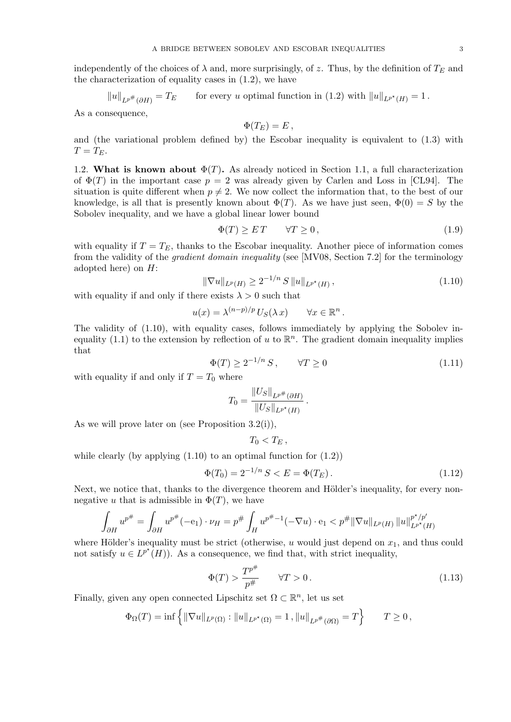independently of the choices of  $\lambda$  and, more surprisingly, of *z*. Thus, by the definition of  $T_E$  and the characterization of equality cases in (1.2), we have

 $||u||_{L^{p^{\#}}(\partial H)}$  $=T_E$  for every *u* optimal function in (1.2) with  $||u||_{L^{p^*}(H)} = 1$ .

As a consequence,

$$
\Phi(T_E)=E\,
$$

and (the variational problem defined by) the Escobar inequality is equivalent to (1.3) with  $T = T_E$ .

1.2. **What is known about**  $\Phi(T)$ . As already noticed in Section 1.1, a full characterization of  $\Phi(T)$  in the important case  $p = 2$  was already given by Carlen and Loss in [CL94]. The situation is quite different when  $p \neq 2$ . We now collect the information that, to the best of our knowledge, is all that is presently known about  $\Phi(T)$ . As we have just seen,  $\Phi(0) = S$  by the Sobolev inequality, and we have a global linear lower bound

$$
\Phi(T) \ge ET \qquad \forall T \ge 0,\tag{1.9}
$$

with equality if  $T = T_E$ , thanks to the Escobar inequality. Another piece of information comes from the validity of the *gradient domain inequality* (see [MV08, Section 7.2] for the terminology adopted here) on *H*:

$$
\|\nabla u\|_{L^p(H)} \ge 2^{-1/n} S \|u\|_{L^{p^*}(H)},\tag{1.10}
$$

with equality if and only if there exists  $\lambda > 0$  such that

$$
u(x) = \lambda^{(n-p)/p} U_S(\lambda x) \qquad \forall x \in \mathbb{R}^n.
$$

The validity of (1.10), with equality cases, follows immediately by applying the Sobolev inequality  $(1.1)$  to the extension by reflection of *u* to  $\mathbb{R}^n$ . The gradient domain inequality implies that

$$
\Phi(T) \ge 2^{-1/n} S, \qquad \forall T \ge 0 \tag{1.11}
$$

with equality if and only if  $T = T_0$  where

$$
T_0 = \frac{\|U_S\|_{L^{p^*}(\partial H)}}{\|U_S\|_{L^{p^*}(H)}}.
$$

As we will prove later on (see Proposition 3.2(i)),

$$
T_0
$$

while clearly (by applying  $(1.10)$  to an optimal function for  $(1.2)$ )

$$
\Phi(T_0) = 2^{-1/n} S < E = \Phi(T_E). \tag{1.12}
$$

Next, we notice that, thanks to the divergence theorem and Hölder's inequality, for every nonnegative *u* that is admissible in  $\Phi(T)$ , we have

$$
\int_{\partial H} u^{p^{\#}} = \int_{\partial H} u^{p^{\#}} (-e_1) \cdot \nu_H = p^{\#} \int_H u^{p^{\#}-1} (-\nabla u) \cdot e_1 < p^{\#} \|\nabla u\|_{L^p(H)} \|u\|_{L^{p^{\star}}(H)}^{p^{\star}/p'}
$$

where Hölder's inequality must be strict (otherwise,  $u$  would just depend on  $x_1$ , and thus could not satisfy  $u \in L^{p^*}(H)$ ). As a consequence, we find that, with strict inequality,

$$
\Phi(T) > \frac{T^{p^{\#}}}{p^{\#}} \qquad \forall T > 0. \tag{1.13}
$$

Finally, given any open connected Lipschitz set  $\Omega \subset \mathbb{R}^n$ , let us set

$$
\Phi_{\Omega}(T) = \inf \left\{ \|\nabla u\|_{L^{p}(\Omega)} : \|u\|_{L^{p^{*}}(\Omega)} = 1, \|u\|_{L^{p^*}(\partial\Omega)} = T \right\} \qquad T \ge 0,
$$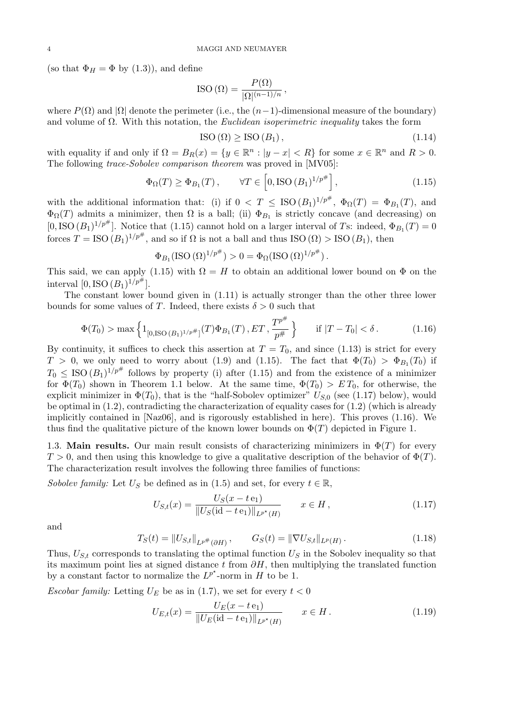(so that  $\Phi_H = \Phi$  by (1.3)), and define

$$
\text{ISO}\left(\Omega\right) = \frac{P(\Omega)}{|\Omega|^{(n-1)/n}},
$$

where  $P(\Omega)$  and  $|\Omega|$  denote the perimeter (i.e., the  $(n-1)$ -dimensional measure of the boundary) and volume of Ω. With this notation, the *Euclidean isoperimetric inequality* takes the form

$$
\text{ISO}(\Omega) \geq \text{ISO}(B_1),\tag{1.14}
$$

with equality if and only if  $\Omega = B_R(x) = \{y \in \mathbb{R}^n : |y - x| < R\}$  for some  $x \in \mathbb{R}^n$  and  $R > 0$ . The following *trace-Sobolev comparison theorem* was proved in [MV05]:

$$
\Phi_{\Omega}(T) \ge \Phi_{B_1}(T), \qquad \forall T \in \left[0, \operatorname{ISO}\left(B_1\right)^{1/p^{\#}}\right],\tag{1.15}
$$

with the additional information that: (i) if  $0 < T \leq ISO(B_1)^{1/p^{\#}}$ ,  $\Phi_{\Omega}(T) = \Phi_{B_1}(T)$ , and  $\Phi_{\Omega}(T)$  admits a minimizer, then  $\Omega$  is a ball; (ii)  $\Phi_{B_1}$  is strictly concave (and decreasing) on  $[0, ISO (B_1)^{1/p^*}]$ . Notice that (1.15) cannot hold on a larger interval of *T*s: indeed,  $\Phi_{B_1}(T) = 0$ forces  $T = ISO (B_1)^{1/p^{\#}}$ , and so if  $\Omega$  is not a ball and thus  $ISO (\Omega) > ISO (B_1)$ , then

$$
\Phi_{B_1}(\text{ISO }(\Omega)^{1/p^{\#}}) > 0 = \Phi_{\Omega}(\text{ISO }(\Omega)^{1/p^{\#}}).
$$

This said, we can apply (1.15) with  $\Omega = H$  to obtain an additional lower bound on  $\Phi$  on the interval  $[0, \text{ISO } (B_1)^{1/p^{\#}}].$ 

The constant lower bound given in (1.11) is actually stronger than the other three lower bounds for some values of *T*. Indeed, there exists  $\delta > 0$  such that

$$
\Phi(T_0) > \max\left\{1_{[0,iso(B_1)^{1/p^{\#}}]}(T)\Phi_{B_1}(T), ET, \frac{T^{p^{\#}}}{p^{\#}}\right\} \quad \text{if } |T - T_0| < \delta. \tag{1.16}
$$

By continuity, it suffices to check this assertion at  $T = T_0$ , and since (1.13) is strict for every  $T > 0$ , we only need to worry about (1.9) and (1.15). The fact that  $\Phi(T_0) > \Phi_{B_1}(T_0)$  if  $T_0 \leq \text{ISO}(B_1)^{1/p^{\#}}$  follows by property (i) after (1.15) and from the existence of a minimizer for  $\Phi(T_0)$  shown in Theorem 1.1 below. At the same time,  $\Phi(T_0) > ET_0$ , for otherwise, the explicit minimizer in  $\Phi(T_0)$ , that is the "half-Sobolev optimizer"  $U_{S,0}$  (see (1.17) below), would be optimal in  $(1.2)$ , contradicting the characterization of equality cases for  $(1.2)$  (which is already implicitly contained in [Naz06], and is rigorously established in here). This proves (1.16). We thus find the qualitative picture of the known lower bounds on  $\Phi(T)$  depicted in Figure 1.

1.3. **Main results.** Our main result consists of characterizing minimizers in  $\Phi(T)$  for every  $T > 0$ , and then using this knowledge to give a qualitative description of the behavior of  $\Phi(T)$ . The characterization result involves the following three families of functions:

*Sobolev family:* Let  $U_S$  be defined as in (1.5) and set, for every  $t \in \mathbb{R}$ ,

$$
U_{S,t}(x) = \frac{U_S(x - t e_1)}{\|U_S(\text{id} - t e_1)\|_{L^{p^*}(H)}} \qquad x \in H,
$$
\n(1.17)

and

$$
T_S(t) = \|U_{S,t}\|_{L^{p^*}(\partial H)}, \qquad G_S(t) = \|\nabla U_{S,t}\|_{L^p(H)}.
$$
\n(1.18)

Thus,  $U_{S,t}$  corresponds to translating the optimal function  $U_S$  in the Sobolev inequality so that its maximum point lies at signed distance *t* from *∂H*, then multiplying the translated function by a constant factor to normalize the  $L^{p^*}$ -norm in *H* to be 1.

*Escobar family:* Letting  $U_E$  be as in (1.7), we set for every  $t < 0$ 

$$
U_{E,t}(x) = \frac{U_E(x - t e_1)}{\|U_E(\text{id} - t e_1)\|_{L^{p^*}(H)}} \qquad x \in H.
$$
\n(1.19)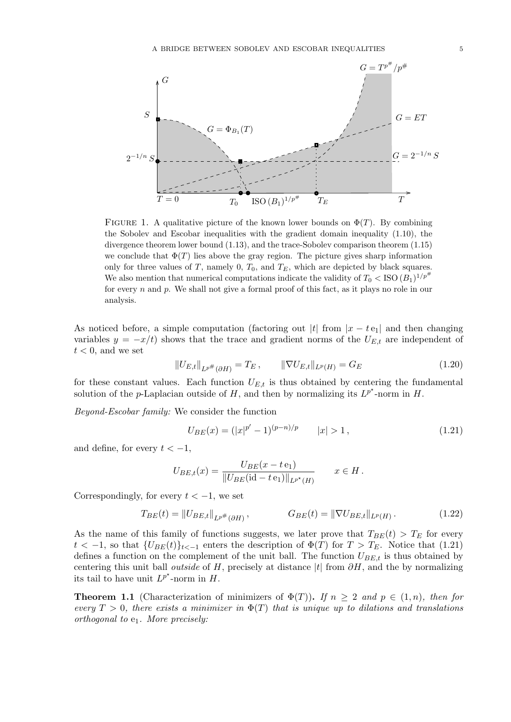

FIGURE 1. A qualitative picture of the known lower bounds on  $\Phi(T)$ . By combining the Sobolev and Escobar inequalities with the gradient domain inequality (1.10), the divergence theorem lower bound (1.13), and the trace-Sobolev comparison theorem (1.15) we conclude that  $\Phi(T)$  lies above the gray region. The picture gives sharp information only for three values of *T*, namely 0,  $T_0$ , and  $T_E$ , which are depicted by black squares. We also mention that numerical computations indicate the validity of  $T_0 <$  ISO  $(B_1)^{1/p^{\#}}$ for every *n* and *p*. We shall not give a formal proof of this fact, as it plays no role in our analysis.

As noticed before, a simple computation (factoring out  $|t|$  from  $|x - t e_1|$  and then changing variables  $y = -x/t$  shows that the trace and gradient norms of the  $U_{E,t}$  are independent of  $t < 0$ , and we set

$$
||U_{E,t}||_{L^{p^{\#}}(\partial H)} = T_E, \qquad ||\nabla U_{E,t}||_{L^p(H)} = G_E \qquad (1.20)
$$

for these constant values. Each function  $U_{E,t}$  is thus obtained by centering the fundamental solution of the *p*-Laplacian outside of *H*, and then by normalizing its  $L^{p^*}$ -norm in *H*.

*Beyond-Escobar family:* We consider the function

$$
U_{BE}(x) = (|x|^{p'} - 1)^{(p-n)/p} \qquad |x| > 1, \tag{1.21}
$$

and define, for every  $t < -1$ ,

$$
U_{BE,t}(x) = \frac{U_{BE}(x - t e_1)}{\|U_{BE}(\text{id} - t e_1)\|_{L^{p^*}(H)}} \qquad x \in H.
$$

Correspondingly, for every  $t < -1$ , we set

$$
T_{BE}(t) = ||U_{BE,t}||_{L^{p^*}(\partial H)}, \qquad G_{BE}(t) = ||\nabla U_{BE,t}||_{L^p(H)}.
$$
 (1.22)

As the name of this family of functions suggests, we later prove that  $T_{BE}(t) > T_E$  for every *t*  $\langle$  −1, so that  ${U_{BE}(t)}_{t<-1}$  enters the description of  $\Phi(T)$  for  $T > T_E$ . Notice that (1.21) defines a function on the complement of the unit ball. The function *UBE,t* is thus obtained by centering this unit ball *outside* of *H*, precisely at distance  $|t|$  from  $\partial H$ , and the by normalizing its tail to have unit  $L^{p^*}$ -norm in *H*.

**Theorem 1.1** (Characterization of minimizers of  $\Phi(T)$ ). If  $n \geq 2$  and  $p \in (1, n)$ *, then for every*  $T > 0$ , there exists a minimizer in  $\Phi(T)$  that is unique up to dilations and translations *orthogonal to* e1*. More precisely:*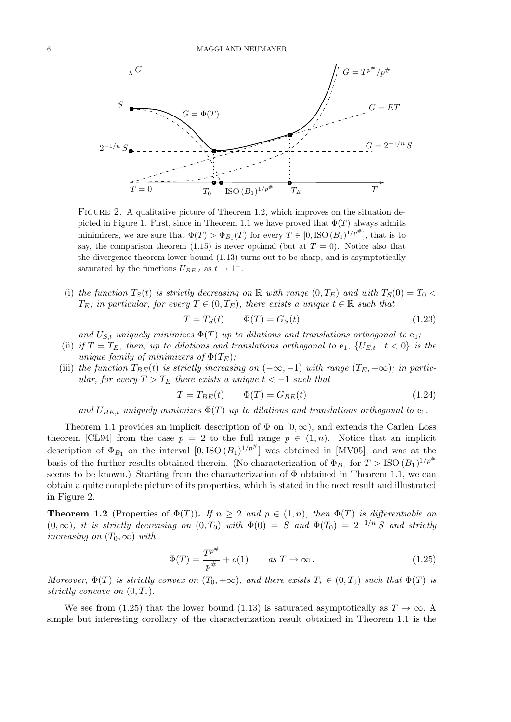

FIGURE 2. A qualitative picture of Theorem 1.2, which improves on the situation depicted in Figure 1. First, since in Theorem 1.1 we have proved that  $\Phi(T)$  always admits minimizers, we are sure that  $\Phi(T) > \Phi_{B_1}(T)$  for every  $T \in [0, ISO(B_1)^{1/p^{\#}}]$ , that is to say, the comparison theorem (1.15) is never optimal (but at  $T = 0$ ). Notice also that the divergence theorem lower bound (1.13) turns out to be sharp, and is asymptotically saturated by the functions  $U_{BE,t}$  as  $t \to 1^-$ .

(i) the function  $T_S(t)$  is strictly decreasing on R with range  $(0, T_E)$  and with  $T_S(0) = T_0$  $T_E$ *; in particular, for every*  $T \in (0, T_E)$ *, there exists a unique*  $t \in \mathbb{R}$  *such that* 

$$
T = T_S(t) \qquad \Phi(T) = G_S(t) \tag{1.23}
$$

and  $U_{S,t}$  *uniquely minimizes*  $\Phi(T)$  *up to dilations and translations orthogonal to*  $e_1$ *;* 

- (ii) *if*  $T = T_E$ *, then, up to dilations and translations orthogonal to*  $e_1$ *,*  $\{U_{E,t}: t < 0\}$  *is the unique family of minimizers of*  $\Phi(T_E)$ ;
- (iii) the function  $T_{BE}(t)$  is strictly increasing on  $(-\infty, -1)$  with range  $(T_E, +\infty)$ ; in partic*ular, for every*  $T > T_E$  *there exists a unique*  $t < -1$  *such that*

$$
T = T_{BE}(t) \qquad \Phi(T) = G_{BE}(t) \tag{1.24}
$$

*and*  $U_{BE,t}$  *uniquely minimizes*  $\Phi(T)$  *up to dilations and translations orthogonal to*  $e_1$ *.* 

Theorem 1.1 provides an implicit description of  $\Phi$  on  $[0, \infty)$ , and extends the Carlen–Loss theorem [CL94] from the case  $p = 2$  to the full range  $p \in (1, n)$ . Notice that an implicit description of  $\Phi_{B_1}$  on the interval  $[0, ISO(B_1)^{1/p^{\#}}]$  was obtained in [MV05], and was at the basis of the further results obtained therein. (No characterization of  $\Phi_{B_1}$  for  $T >$  ISO  $(B_1)^{1/p^{\#}}$ seems to be known.) Starting from the characterization of  $\Phi$  obtained in Theorem 1.1, we can obtain a quite complete picture of its properties, which is stated in the next result and illustrated in Figure 2.

**Theorem 1.2** (Properties of  $\Phi(T)$ ). If  $n \geq 2$  and  $p \in (1, n)$ , then  $\Phi(T)$  is differentiable on  $(0, \infty)$ , it is strictly decreasing on  $(0, T_0)$  with  $\Phi(0) = S$  and  $\Phi(T_0) = 2^{-1/n} S$  and strictly *increasing on*  $(T_0, \infty)$  *with* 

$$
\Phi(T) = \frac{T^{p^{\#}}}{p^{\#}} + o(1) \qquad \text{as } T \to \infty.
$$
\n(1.25)

*Moreover,*  $\Phi(T)$  *is strictly convex on*  $(T_0, +\infty)$ *, and there exists*  $T_* \in (0, T_0)$  *such that*  $\Phi(T)$  *is strictly concave on*  $(0, T_*)$ *.* 

We see from (1.25) that the lower bound (1.13) is saturated asymptotically as  $T \to \infty$ . simple but interesting corollary of the characterization result obtained in Theorem 1.1 is the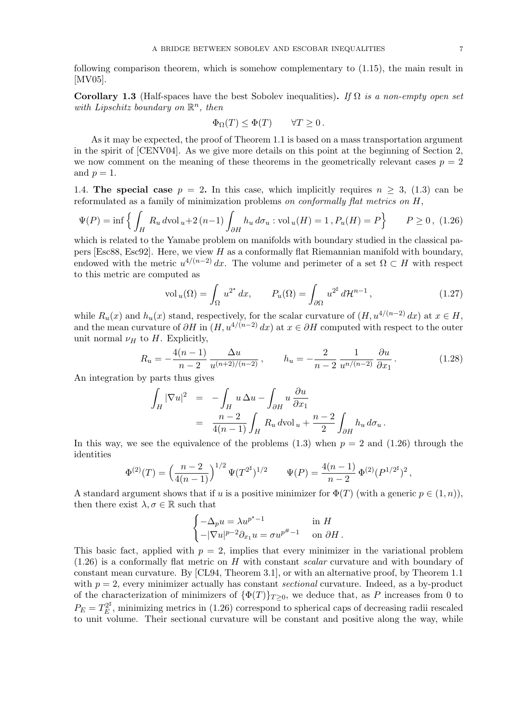following comparison theorem, which is somehow complementary to (1.15), the main result in [MV05].

**Corollary 1.3** (Half-spaces have the best Sobolev inequalities)**.** *If* Ω *is a non-empty open set* with Lipschitz boundary on  $\mathbb{R}^n$ , then

$$
\Phi_{\Omega}(T) \le \Phi(T) \qquad \forall T \ge 0.
$$

As it may be expected, the proof of Theorem 1.1 is based on a mass transportation argument in the spirit of [CENV04]. As we give more details on this point at the beginning of Section 2, we now comment on the meaning of these theorems in the geometrically relevant cases  $p = 2$ and  $p=1$ .

1.4. **The special case**  $p = 2$ . In this case, which implicitly requires  $n \geq 3$ , (1.3) can be reformulated as a family of minimization problems *on conformally flat metrics on H*,

$$
\Psi(P) = \inf \left\{ \int_H R_u \, d\text{vol}_u + 2\, (n-1) \int_{\partial H} h_u \, d\sigma_u : \text{vol}_u(H) = 1 \, , P_u(H) = P \right\} \qquad P \ge 0 \, , \tag{1.26}
$$

which is related to the Yamabe problem on manifolds with boundary studied in the classical papers [Esc88, Esc92]. Here, we view *H* as a conformally flat Riemannian manifold with boundary, endowed with the metric  $u^{4/(n-2)} dx$ . The volume and perimeter of a set  $\Omega \subset H$  with respect to this metric are computed as

$$
\text{vol}_u(\Omega) = \int_{\Omega} u^{2^*} dx, \qquad P_u(\Omega) = \int_{\partial \Omega} u^{2^{\sharp}} d\mathcal{H}^{n-1}, \qquad (1.27)
$$

while  $R_u(x)$  and  $h_u(x)$  stand, respectively, for the scalar curvature of  $(H, u^{4/(n-2)} dx)$  at  $x \in H$ , and the mean curvature of  $\partial H$  in  $(H, u^{4/(n-2)} dx)$  at  $x \in \partial H$  computed with respect to the outer unit normal  $\nu_H$  to *H*. Explicitly,

$$
R_u = -\frac{4(n-1)}{n-2} \frac{\Delta u}{u^{(n+2)/(n-2)}}, \qquad h_u = -\frac{2}{n-2} \frac{1}{u^{n/(n-2)}} \frac{\partial u}{\partial x_1}.
$$
 (1.28)

An integration by parts thus gives

$$
\int_H |\nabla u|^2 = -\int_H u \Delta u - \int_{\partial H} u \frac{\partial u}{\partial x_1}
$$
  
= 
$$
\frac{n-2}{4(n-1)} \int_H R_u d\mathrm{vol}_u + \frac{n-2}{2} \int_{\partial H} h_u d\sigma_u.
$$

In this way, we see the equivalence of the problems  $(1.3)$  when  $p = 2$  and  $(1.26)$  through the identities

$$
\Phi^{(2)}(T) = \left(\frac{n-2}{4(n-1)}\right)^{1/2} \Psi(T^{2^{\sharp}})^{1/2} \qquad \Psi(P) = \frac{4(n-1)}{n-2} \Phi^{(2)}(P^{1/2^{\sharp}})^2,
$$

A standard argument shows that if *u* is a positive minimizer for  $\Phi(T)$  (with a generic  $p \in (1, n)$ ), then there exist  $\lambda, \sigma \in \mathbb{R}$  such that

$$
\begin{cases}\n-\Delta_p u = \lambda u^{p^* - 1} & \text{in } H \\
-|\nabla u|^{p-2} \partial_{x_1} u = \sigma u^{p^* - 1} & \text{on } \partial H.\n\end{cases}
$$

This basic fact, applied with  $p = 2$ , implies that every minimizer in the variational problem (1.26) is a conformally flat metric on *H* with constant *scalar* curvature and with boundary of constant mean curvature. By [CL94, Theorem 3.1], or with an alternative proof, by Theorem 1.1 with  $p = 2$ , every minimizer actually has constant *sectional* curvature. Indeed, as a by-product of the characterization of minimizers of  ${\Phi(T)}_{T\geq 0}$ , we deduce that, as P increases from 0 to  $P_E = T_E^{2^\sharp}$  $E<sup>2<sup>\mu</sup></sup>$ , minimizing metrics in (1.26) correspond to spherical caps of decreasing radii rescaled to unit volume. Their sectional curvature will be constant and positive along the way, while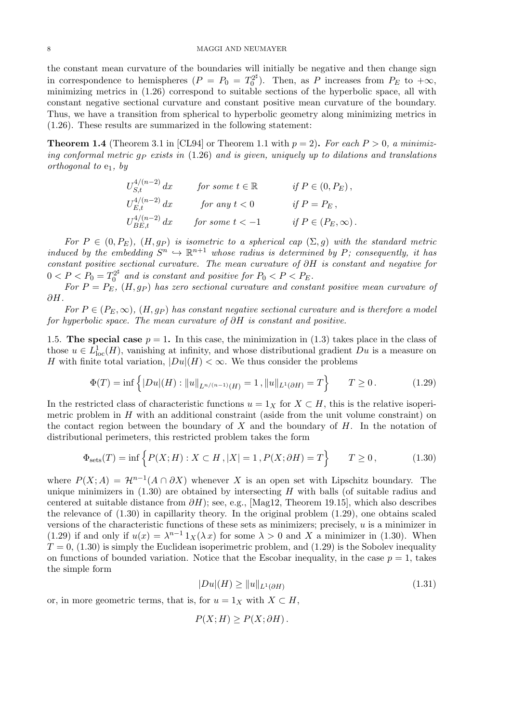the constant mean curvature of the boundaries will initially be negative and then change sign in correspondence to hemispheres  $(P = P_0 = T_0^{2^{\sharp}})$  $P_0^{2^{\mu}}$ . Then, as *P* increases from  $P_E$  to  $+\infty$ , minimizing metrics in (1.26) correspond to suitable sections of the hyperbolic space, all with constant negative sectional curvature and constant positive mean curvature of the boundary. Thus, we have a transition from spherical to hyperbolic geometry along minimizing metrics in (1.26). These results are summarized in the following statement:

**Theorem 1.4** (Theorem 3.1 in [CL94] or Theorem 1.1 with  $p = 2$ ). For each  $P > 0$ , a minimiz*ing conformal metric g<sup>P</sup> exists in* (1.26) *and is given, uniquely up to dilations and translations orthogonal to* e1*, by*

$$
U_{S,t}^{4/(n-2)} dx \qquad \text{for some } t \in \mathbb{R} \qquad \text{if } P \in (0, P_E),
$$
  

$$
U_{E,t}^{4/(n-2)} dx \qquad \text{for any } t < 0 \qquad \text{if } P = P_E,
$$
  

$$
U_{BE,t}^{4/(n-2)} dx \qquad \text{for some } t < -1 \qquad \text{if } P \in (P_E, \infty).
$$

*For*  $P \in (0, P_E)$ ,  $(H, gp)$  *is isometric to a spherical cap*  $(\Sigma, g)$  *with the standard metric induced by the embedding*  $S^n \hookrightarrow \mathbb{R}^{n+1}$  *whose radius is determined by P; consequently, it has constant positive sectional curvature. The mean curvature of ∂H is constant and negative for*  $0 < P < P_0 = T_0^{2^{\sharp}}$  $b_0^{2^*}$  and is constant and positive for  $P_0 < P < P_E$ .

*For*  $P = P_E$ ,  $(H, g_P)$  *has zero sectional curvature and constant positive mean curvature of ∂H.*

*For*  $P \in (P_E, \infty)$ ,  $(H, gp)$  *has constant negative sectional curvature and is therefore a model for hyperbolic space. The mean curvature of ∂H is constant and positive.*

1.5. **The special case**  $p = 1$ . In this case, the minimization in (1.3) takes place in the class of those  $u \in L^1_{loc}(H)$ , vanishing at infinity, and whose distributional gradient  $Du$  is a measure on *H* with finite total variation,  $|Du|(H) < \infty$ . We thus consider the problems

$$
\Phi(T) = \inf \left\{ |Du|(H) : \|u\|_{L^{n/(n-1)}(H)} = 1, \|u\|_{L^1(\partial H)} = T \right\} \qquad T \ge 0. \tag{1.29}
$$

In the restricted class of characteristic functions  $u = 1_X$  for  $X \subset H$ , this is the relative isoperimetric problem in *H* with an additional constraint (aside from the unit volume constraint) on the contact region between the boundary of *X* and the boundary of *H*. In the notation of distributional perimeters, this restricted problem takes the form

$$
\Phi_{\text{sets}}(T) = \inf \left\{ P(X;H) : X \subset H, |X| = 1, P(X; \partial H) = T \right\} \qquad T \ge 0,
$$
\n(1.30)

where  $P(X; A) = \mathcal{H}^{n-1}(A \cap \partial X)$  whenever X is an open set with Lipschitz boundary. The unique minimizers in (1.30) are obtained by intersecting *H* with balls (of suitable radius and centered at suitable distance from *∂H*); see, e.g., [Mag12, Theorem 19.15], which also describes the relevance of (1.30) in capillarity theory. In the original problem (1.29), one obtains scaled versions of the characteristic functions of these sets as minimizers; precisely, *u* is a minimizer in (1.29) if and only if  $u(x) = \lambda^{n-1} 1_X(\lambda x)$  for some  $\lambda > 0$  and X a minimizer in (1.30). When  $T = 0$ , (1.30) is simply the Euclidean isoperimetric problem, and (1.29) is the Sobolev inequality on functions of bounded variation. Notice that the Escobar inequality, in the case  $p = 1$ , takes the simple form

$$
|Du|(H) \ge ||u||_{L^1(\partial H)}\tag{1.31}
$$

or, in more geometric terms, that is, for  $u = 1_X$  with  $X \subset H$ ,

$$
P(X;H) \ge P(X;\partial H).
$$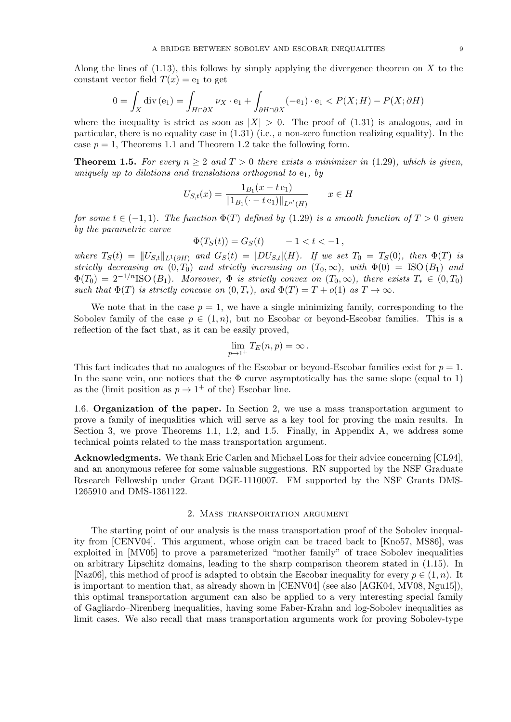Along the lines of (1.13), this follows by simply applying the divergence theorem on *X* to the constant vector field  $T(x) = e_1$  to get

$$
0 = \int_X \operatorname{div}(\mathbf{e}_1) = \int_{H \cap \partial X} \nu_X \cdot \mathbf{e}_1 + \int_{\partial H \cap \partial X} (-\mathbf{e}_1) \cdot \mathbf{e}_1 < P(X; H) - P(X; \partial H)
$$

where the inequality is strict as soon as  $|X| > 0$ . The proof of (1.31) is analogous, and in particular, there is no equality case in (1.31) (i.e., a non-zero function realizing equality). In the case  $p = 1$ , Theorems 1.1 and Theorem 1.2 take the following form.

**Theorem 1.5.** For every  $n \geq 2$  and  $T > 0$  there exists a minimizer in (1.29), which is given, *uniquely up to dilations and translations orthogonal to*  $e_1$ *, by* 

$$
U_{S,t}(x) = \frac{1_{B_1}(x - t \mathbf{e}_1)}{\|1_{B_1}(\cdot - t \mathbf{e}_1)\|_{L^{n'}(H)}} \qquad x \in H
$$

*for some*  $t \in (-1, 1)$ *. The function*  $\Phi(T)$  *defined by* (1.29) *is a smooth function* of  $T > 0$  *given by the parametric curve*

$$
\Phi(T_S(t)) = G_S(t) \qquad -1 < t < -1 \,,
$$

where  $T_S(t) = ||U_{S,t}||_{L^1(\partial H)}$  and  $G_S(t) = |DU_{S,t}|(H)$ . If we set  $T_0 = T_S(0)$ , then  $\Phi(T)$  is *strictly decreasing on*  $(0, T_0)$  *and strictly increasing on*  $(T_0, \infty)$ *, with*  $\Phi(0) = ISO(B_1)$  *and*  $\Phi(T_0) = 2^{-1/n}$ ISO  $(B_1)$ *. Moreover,*  $\Phi$  *is strictly convex on*  $(T_0, \infty)$ *, there exists*  $T_* \in (0, T_0)$ *such that*  $\Phi(T)$  *is strictly concave on*  $(0, T_*)$ *, and*  $\Phi(T) = T + o(1)$  *as*  $T \to \infty$ *.* 

We note that in the case  $p = 1$ , we have a single minimizing family, corresponding to the Sobolev family of the case  $p \in (1, n)$ , but no Escobar or beyond-Escobar families. This is a reflection of the fact that, as it can be easily proved,

$$
\lim_{p\to 1^+}T_E(n,p)=\infty.
$$

This fact indicates that no analogues of the Escobar or beyond-Escobar families exist for  $p = 1$ . In the same vein, one notices that the  $\Phi$  curve asymptotically has the same slope (equal to 1) as the (limit position as  $p \to 1^+$  of the) Escobar line.

1.6. **Organization of the paper.** In Section 2, we use a mass transportation argument to prove a family of inequalities which will serve as a key tool for proving the main results. In Section 3, we prove Theorems 1.1, 1.2, and 1.5. Finally, in Appendix A, we address some technical points related to the mass transportation argument.

**Acknowledgments.** We thank Eric Carlen and Michael Loss for their advice concerning [CL94], and an anonymous referee for some valuable suggestions. RN supported by the NSF Graduate Research Fellowship under Grant DGE-1110007. FM supported by the NSF Grants DMS-1265910 and DMS-1361122.

#### 2. Mass transportation argument

The starting point of our analysis is the mass transportation proof of the Sobolev inequality from [CENV04]. This argument, whose origin can be traced back to [Kno57, MS86], was exploited in [MV05] to prove a parameterized "mother family" of trace Sobolev inequalities on arbitrary Lipschitz domains, leading to the sharp comparison theorem stated in (1.15). In [Naz06], this method of proof is adapted to obtain the Escobar inequality for every  $p \in (1, n)$ . It is important to mention that, as already shown in [CENV04] (see also [AGK04, MV08, Ngu15]), this optimal transportation argument can also be applied to a very interesting special family of Gagliardo–Nirenberg inequalities, having some Faber-Krahn and log-Sobolev inequalities as limit cases. We also recall that mass transportation arguments work for proving Sobolev-type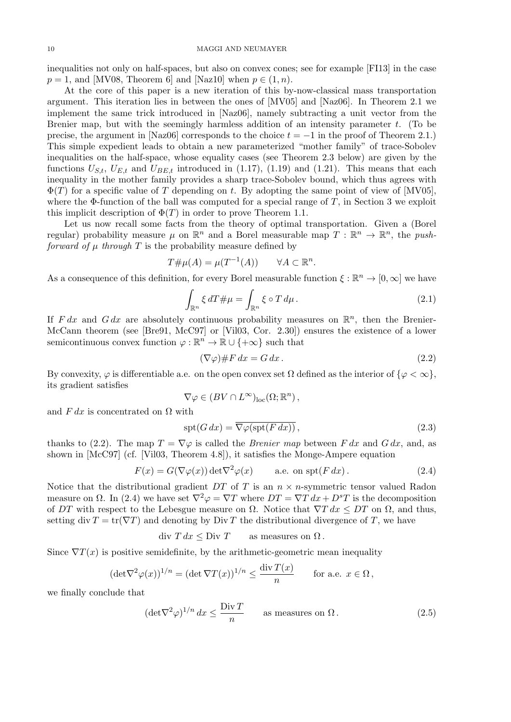inequalities not only on half-spaces, but also on convex cones; see for example [FI13] in the case  $p = 1$ , and [MV08, Theorem 6] and [Naz10] when  $p \in (1, n)$ .

At the core of this paper is a new iteration of this by-now-classical mass transportation argument. This iteration lies in between the ones of [MV05] and [Naz06]. In Theorem 2.1 we implement the same trick introduced in [Naz06], namely subtracting a unit vector from the Brenier map, but with the seemingly harmless addition of an intensity parameter *t*. (To be precise, the argument in [Naz06] corresponds to the choice  $t = -1$  in the proof of Theorem 2.1.) This simple expedient leads to obtain a new parameterized "mother family" of trace-Sobolev inequalities on the half-space, whose equality cases (see Theorem 2.3 below) are given by the functions  $U_{S,t}$ ,  $U_{E,t}$  and  $U_{B,E,t}$  introduced in (1.17), (1.19) and (1.21). This means that each inequality in the mother family provides a sharp trace-Sobolev bound, which thus agrees with Φ(*T*) for a specific value of *T* depending on *t*. By adopting the same point of view of [MV05], where the Φ-function of the ball was computed for a special range of *T*, in Section 3 we exploit this implicit description of  $\Phi(T)$  in order to prove Theorem 1.1.

Let us now recall some facts from the theory of optimal transportation. Given a (Borel regular) probability measure  $\mu$  on  $\mathbb{R}^n$  and a Borel measurable map  $T : \mathbb{R}^n \to \mathbb{R}^n$ , the *pushforward of*  $\mu$  *through*  $T$  is the probability measure defined by

$$
T\# \mu(A) = \mu(T^{-1}(A)) \qquad \forall A \subset \mathbb{R}^n.
$$

As a consequence of this definition, for every Borel measurable function  $\xi : \mathbb{R}^n \to [0, \infty]$  we have

$$
\int_{\mathbb{R}^n} \xi \, dT \# \mu = \int_{\mathbb{R}^n} \xi \circ T \, d\mu \,. \tag{2.1}
$$

If  $F dx$  and  $G dx$  are absolutely continuous probability measures on  $\mathbb{R}^n$ , then the Brenier-McCann theorem (see [Bre91, McC97] or [Vil03, Cor. 2.30]) ensures the existence of a lower semicontinuous convex function  $\varphi : \mathbb{R}^n \to \mathbb{R} \cup \{+\infty\}$  such that

$$
(\nabla \varphi) \# F dx = G dx. \tag{2.2}
$$

By convexity,  $\varphi$  is differentiable a.e. on the open convex set  $\Omega$  defined as the interior of  $\{\varphi < \infty\},\$ its gradient satisfies

$$
\nabla \varphi \in (BV \cap L^{\infty})_{loc}(\Omega; \mathbb{R}^n),
$$

and  $F dx$  is concentrated on  $\Omega$  with

$$
\operatorname{spt}(G\,dx) = \overline{\nabla\varphi(\operatorname{spt}(F\,dx))}\,,\tag{2.3}
$$

thanks to (2.2). The map  $T = \nabla \varphi$  is called the *Brenier map* between *F dx* and *G dx*, and, as shown in [McC97] (cf. [Vil03, Theorem 4.8]), it satisfies the Monge-Ampere equation

$$
F(x) = G(\nabla \varphi(x)) \det \nabla^2 \varphi(x) \qquad \text{a.e. on } \operatorname{spt}(F \, dx). \tag{2.4}
$$

Notice that the distributional gradient *DT* of *T* is an  $n \times n$ -symmetric tensor valued Radon measure on  $\Omega$ . In (2.4) we have set  $\nabla^2 \varphi = \nabla T$  where  $DT = \nabla T dx + D^sT$  is the decomposition of *DT* with respect to the Lebesgue measure on  $\Omega$ . Notice that  $\nabla T dx \le DT$  on  $\Omega$ , and thus, setting div  $T = \text{tr}(\nabla T)$  and denoting by Div *T* the distributional divergence of *T*, we have

$$
div T dx \leq Div T \qquad \text{as measures on } \Omega.
$$

Since  $\nabla T(x)$  is positive semidefinite, by the arithmetic-geometric mean inequality

$$
(\det \nabla^2 \varphi(x))^{1/n} = (\det \nabla T(x))^{1/n} \le \frac{\operatorname{div} T(x)}{n} \quad \text{for a.e. } x \in \Omega,
$$

we finally conclude that

$$
(\det \nabla^2 \varphi)^{1/n} dx \le \frac{\text{Div } T}{n} \qquad \text{as measures on } \Omega. \tag{2.5}
$$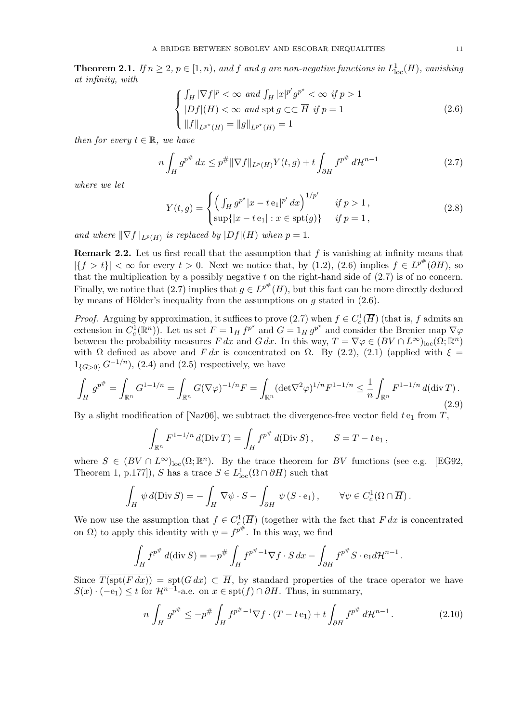**Theorem 2.1.** *If*  $n \geq 2$ ,  $p \in [1, n)$ , and *f* and *g* are non-negative functions in  $L^1_{loc}(H)$ , vanishing *at infinity, with*

$$
\begin{cases} \int_H |\nabla f|^p < \infty \text{ and } \int_H |x|^{p'} g^{p^*} < \infty \text{ if } p > 1\\ |Df|(H) < \infty \text{ and } \text{spt } g \subset\subset \overline{H} \text{ if } p = 1\\ \|f\|_{L^{p^*}(H)} = \|g\|_{L^{p^*}(H)} = 1 \end{cases} \tag{2.6}
$$

*then for every*  $t \in \mathbb{R}$ *, we have* 

$$
n\int_{H} g^{p^{#}} dx \le p^{#} \|\nabla f\|_{L^{p}(H)} Y(t, g) + t \int_{\partial H} f^{p^{#}} d\mathcal{H}^{n-1}
$$
\n(2.7)

*where we let*

$$
Y(t,g) = \begin{cases} \left(\int_H g^{p^*} |x - t \, \mathbf{e}_1|^{p'} \, dx\right)^{1/p'} & \text{if } p > 1, \\ \sup\{|x - t \, \mathbf{e}_1| : x \in \text{spt}(g)\} & \text{if } p = 1, \end{cases} \tag{2.8}
$$

*and where*  $\|\nabla f\|_{L^p(H)}$  *is replaced by*  $|Df|(H)$  *when*  $p = 1$ *.* 

**Remark 2.2.** Let us first recall that the assumption that *f* is vanishing at infinity means that  $|{f > t}| < \infty$  for every  $t > 0$ . Next we notice that, by (1.2), (2.6) implies  $f \in L^{p^{\#}}(\partial H)$ , so that the multiplication by a possibly negative *t* on the right-hand side of (2.7) is of no concern. Finally, we notice that  $(2.7)$  implies that  $g \in L^{p^{\#}}(H)$ , but this fact can be more directly deduced by means of Hölder's inequality from the assumptions on  $q$  stated in  $(2.6)$ .

*Proof.* Arguing by approximation, it suffices to prove  $(2.7)$  when  $f \in C_c^1(\overline{H})$  (that is, *f* admits an extension in  $C_c^1(\mathbb{R}^n)$ . Let us set  $F = 1_H f^{p^*}$  and  $G = 1_H g^{p^*}$  and consider the Brenier map  $\nabla \varphi$ between the probability measures *F dx* and *G dx*. In this way,  $T = \nabla \varphi \in (BV \cap L^{\infty})_{loc}(\Omega; \mathbb{R}^n)$ with  $\Omega$  defined as above and *F dx* is concentrated on  $\Omega$ . By (2.2), (2.1) (applied with  $\xi$  =  $1_{\{G>0\}} G^{-1/n}$ , (2.4) and (2.5) respectively, we have

$$
\int_H g^{p^{\#}} = \int_{\mathbb{R}^n} G^{1-1/n} = \int_{\mathbb{R}^n} G(\nabla \varphi)^{-1/n} F = \int_{\mathbb{R}^n} (\det \nabla^2 \varphi)^{1/n} F^{1-1/n} \le \frac{1}{n} \int_{\mathbb{R}^n} F^{1-1/n} d(\text{div}\, T). \tag{2.9}
$$

By a slight modification of [Naz06], we subtract the divergence-free vector field  $t_{\text{e}_1}$  from  $T$ ,

$$
\int_{\mathbb{R}^n} F^{1-1/n} d(Div T) = \int_H f^{p^{\#}} d(Div S), \qquad S = T - t e_1,
$$

where  $S \in (BV \cap L^{\infty})_{loc}(\Omega;\mathbb{R}^n)$ . By the trace theorem for *BV* functions (see e.g. [EG92, Theorem 1, p.177]), *S* has a trace  $S \in L^1_{loc}(\Omega \cap \partial H)$  such that

$$
\int_H \psi \, d(\text{Div } S) = -\int_H \nabla \psi \cdot S - \int_{\partial H} \psi \, (S \cdot \mathbf{e}_1) \,, \qquad \forall \psi \in C_c^1(\Omega \cap \overline{H}) \,.
$$

We now use the assumption that  $f \in C_c^1(\overline{H})$  (together with the fact that  $F dx$  is concentrated on  $\Omega$ ) to apply this identity with  $\psi = f^{p^{\#}}$ . In this way, we find

$$
\int_H f^{p^{\#}} d(\text{div } S) = -p^{\#} \int_H f^{p^{\#}-1} \nabla f \cdot S \, dx - \int_{\partial H} f^{p^{\#}} S \cdot e_1 d\mathcal{H}^{n-1}
$$

Since  $\overline{T(\text{spt}(F dx))} = \text{spt}(G dx) \subset \overline{H}$ , by standard properties of the trace operator we have *S*(*x*)  $\cdot$  (*−*e<sub>1</sub>)  $\leq$  *t* for  $\mathcal{H}^{n-1}$ -a.e. on *x*  $\in$  spt(*f*)  $\cap$   $\partial$ *H*. Thus, in summary,

$$
n \int_H g^{p^{\#}} \le -p^{\#} \int_H f^{p^{\#}-1} \nabla f \cdot (T - t \mathbf{e}_1) + t \int_{\partial H} f^{p^{\#}} d\mathcal{H}^{n-1}.
$$
 (2.10)

*.*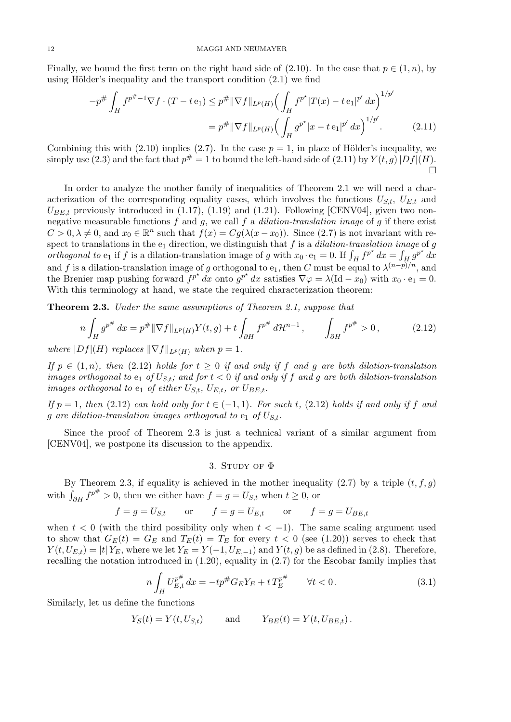Finally, we bound the first term on the right hand side of (2.10). In the case that  $p \in (1, n)$ , by using Hölder's inequality and the transport condition  $(2.1)$  we find

$$
-p^{\#} \int_{H} f^{p^{\#}-1} \nabla f \cdot (T - t \mathbf{e}_{1}) \leq p^{\#} \|\nabla f\|_{L^{p}(H)} \Big(\int_{H} f^{p^{\star}} |T(x) - t \mathbf{e}_{1}|^{p'} dx\Big)^{1/p'} = p^{\#} \|\nabla f\|_{L^{p}(H)} \Big(\int_{H} g^{p^{\star}} |x - t \mathbf{e}_{1}|^{p'} dx\Big)^{1/p'}.
$$
(2.11)

Combining this with  $(2.10)$  implies  $(2.7)$ . In the case  $p = 1$ , in place of Hölder's inequality, we simply use (2.3) and the fact that  $p^{\#} = 1$  to bound the left-hand side of (2.11) by  $Y(t, g) |Df|(H)$ .  $\Box$ 

In order to analyze the mother family of inequalities of Theorem 2.1 we will need a characterization of the corresponding equality cases, which involves the functions  $U_{S,t}$ ,  $U_{E,t}$  and  $U_{BE,t}$  previously introduced in (1.17), (1.19) and (1.21). Following [CENV04], given two nonnegative measurable functions *f* and *g*, we call *f* a *dilation-translation image* of *g* if there exist  $C > 0, \lambda \neq 0$ , and  $x_0 \in \mathbb{R}^n$  such that  $f(x) = Cg(\lambda(x - x_0))$ . Since (2.7) is not invariant with respect to translations in the  $e_1$  direction, we distinguish that  $f$  is a *dilation-translation image* of  $g$ *orthogonal to*  $e_1$  if *f* is a dilation-translation image of *g* with  $x_0 \cdot e_1 = 0$ . If  $\int_H f^{p^*} dx = \int_H g^{p^*} dx$ and *f* is a dilation-translation image of *g* orthogonal to  $e_1$ , then *C* must be equal to  $\lambda^{(n-p)/n}$ , and the Brenier map pushing forward  $f^{p^*} dx$  onto  $g^{p^*} dx$  satisfies  $\nabla \varphi = \lambda (\text{Id} - x_0)$  with  $x_0 \cdot e_1 = 0$ . With this terminology at hand, we state the required characterization theorem:

**Theorem 2.3.** *Under the same assumptions of Theorem 2.1, suppose that*

$$
n\int_{H} g^{p^{#}} dx = p^{#} \|\nabla f\|_{L^{p}(H)} Y(t, g) + t \int_{\partial H} f^{p^{#}} d\mathcal{H}^{n-1}, \qquad \int_{\partial H} f^{p^{#}} > 0, \tag{2.12}
$$

*where*  $|Df|(H)$  *replaces*  $\|\nabla f\|_{L^p(H)}$  *when*  $p = 1$ *.* 

*If*  $p \in (1, n)$ *, then* (2.12) *holds for*  $t \geq 0$  *if and only if*  $f$  *and*  $g$  *are both dilation-translation images orthogonal to*  $e_1$  *of*  $U_{S,t}$ *; and for*  $t < 0$  *if and only if*  $f$  *and*  $g$  *are both dilation-translation images orthogonal to*  $e_1$  *of either*  $U_{S,t}$ *,*  $U_{E,t}$ *, or*  $U_{B,E,t}$ *.* 

*If*  $p = 1$ *, then* (2.12) *can hold only for*  $t \in (-1, 1)$ *. For such t,* (2.12) *holds if and only if f* and *g* are dilation-translation images orthogonal to  $e_1$  of  $U_{S,t}$ .

Since the proof of Theorem 2.3 is just a technical variant of a similar argument from [CENV04], we postpone its discussion to the appendix.

### 3. STUDY OF  $\Phi$

By Theorem 2.3, if equality is achieved in the mother inequality  $(2.7)$  by a triple  $(t, f, g)$ with  $\int_{\partial H} f^{p^{\#}} > 0$ , then we either have  $f = g = U_{S,t}$  when  $t \ge 0$ , or

$$
f = g = U_{S,t}
$$
 or  $f = g = U_{E,t}$  or  $f = g = U_{BE,t}$ 

when  $t < 0$  (with the third possibility only when  $t < -1$ ). The same scaling argument used to show that  $G_E(t) = G_E$  and  $T_E(t) = T_E$  for every  $t < 0$  (see (1.20)) serves to check that  $Y(t, U_{E,t}) = |t| Y_E$ , where we let  $Y_E = Y(-1, U_{E,-1})$  and  $Y(t,g)$  be as defined in (2.8). Therefore, recalling the notation introduced in (1.20), equality in (2.7) for the Escobar family implies that

$$
n\int_{H} U_{E,t}^{p^{\#}} dx = -tp^{\#} G_E Y_E + t T_E^{p^{\#}} \qquad \forall t < 0.
$$
 (3.1)

Similarly, let us define the functions

$$
Y_S(t) = Y(t, U_{S,t})
$$
 and  $Y_{BE}(t) = Y(t, U_{BE,t}).$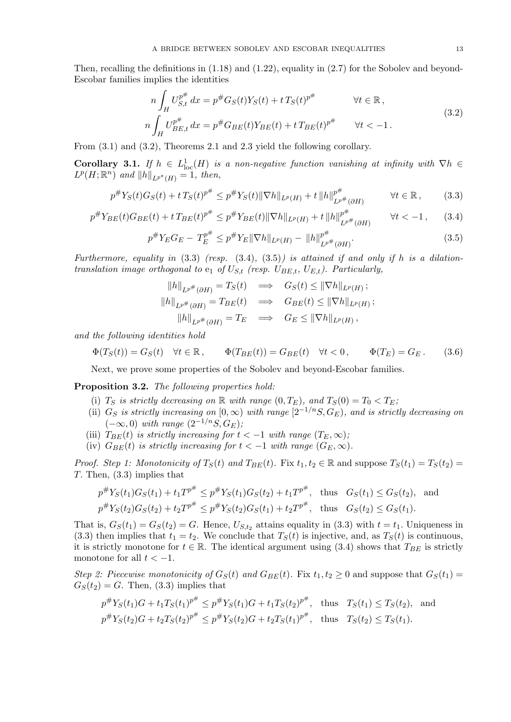Then, recalling the definitions in (1.18) and (1.22), equality in (2.7) for the Sobolev and beyond-Escobar families implies the identities

$$
n\int_{H} U_{S,t}^{p^{#}} dx = p^{#} G_{S}(t) Y_{S}(t) + t T_{S}(t)^{p^{#}} \qquad \forall t \in \mathbb{R},
$$
  
\n
$$
n\int_{H} U_{BE,t}^{p^{#}} dx = p^{#} G_{BE}(t) Y_{BE}(t) + t T_{BE}(t)^{p^{#}} \qquad \forall t < -1.
$$
\n(3.2)

From (3.1) and (3.2), Theorems 2.1 and 2.3 yield the following corollary.

**Corollary 3.1.** *If*  $h \in L^1_{loc}(H)$  *is a non-negative function vanishing at infinity with*  $\nabla h \in$  $L^p(H; \mathbb{R}^n)$  *and*  $||h||_{L^{p^*}(H)} = 1$ *, then,* 

$$
p^{\#}Y_S(t)G_S(t) + t\,T_S(t)^{p^{\#}} \le p^{\#}Y_S(t) \|\nabla h\|_{L^p(H)} + t\,\|h\|_{L^{p^{\#}}(\partial H)}^{p^{\#}} \qquad \forall t \in \mathbb{R},\qquad(3.3)
$$

$$
p^{\#} Y_{BE}(t) G_{BE}(t) + t T_{BE}(t)^{p^{\#}} \leq p^{\#} Y_{BE}(t) \|\nabla h\|_{L^{p}(H)} + t \|h\|_{L^{p^{\#}}(\partial H)}^{p^{\#}} \qquad \forall t < -1,
$$
 (3.4)

$$
p^{\#} Y_E G_E - T_E^{p^{\#}} \le p^{\#} Y_E \|\nabla h\|_{L^p(H)} - \|h\|_{L^{p^{\#}}(\partial H)}^{p^{\#}}.
$$
\n(3.5)

*Furthermore, equality in* (3.3) *(resp.* (3.4)*,* (3.5)*) is attained if and only if h is a dilationtranslation image orthogonal to*  $e_1$  *of*  $U_{S,t}$  (resp.  $U_{BE,t}$ ,  $U_{E,t}$ ). Particularly,

$$
||h||_{L^{p^{\#}}(\partial H)} = T_S(t) \implies G_S(t) \le ||\nabla h||_{L^p(H)};
$$
  

$$
||h||_{L^{p^{\#}}(\partial H)} = T_{BE}(t) \implies G_{BE}(t) \le ||\nabla h||_{L^p(H)};
$$
  

$$
||h||_{L^{p^{\#}}(\partial H)} = T_E \implies G_E \le ||\nabla h||_{L^p(H)},
$$

*and the following identities hold*

$$
\Phi(T_S(t)) = G_S(t) \quad \forall t \in \mathbb{R}, \qquad \Phi(T_{BE}(t)) = G_{BE}(t) \quad \forall t < 0, \qquad \Phi(T_E) = G_E. \tag{3.6}
$$

Next, we prove some properties of the Sobolev and beyond-Escobar families.

**Proposition 3.2.** *The following properties hold:*

- (i) *T<sub>S</sub> is strictly decreasing on*  $\mathbb R$  *with range*  $(0, T_E)$ *, and*  $T_S(0) = T_0 < T_E$ *;*
- (ii)  $G_S$  *is strictly increasing on*  $[0, \infty)$  *with range*  $[2^{-1/n}S, G_E)$ *, and is strictly decreasing on*  $(-∞, 0)$  *with range*  $(2^{-1/n}S, G_E)$ ;
- (iii)  $T_{BE}(t)$  *is strictly increasing for*  $t < -1$  *with range*  $(T_E, \infty)$ *;*
- (iv)  $G_{BE}(t)$  *is strictly increasing for*  $t < -1$  *with range*  $(G_E, \infty)$ *.*

*Proof.* Step 1: Monotonicity of  $T_S(t)$  and  $T_{BE}(t)$ . Fix  $t_1, t_2 \in \mathbb{R}$  and suppose  $T_S(t_1) = T_S(t_2) =$ *T.* Then, (3.3) implies that

$$
p^{\#}Y_S(t_1)G_S(t_1) + t_1T^{p^{\#}} \le p^{\#}Y_S(t_1)G_S(t_2) + t_1T^{p^{\#}}, \text{ thus } G_S(t_1) \le G_S(t_2), \text{ and}
$$
  

$$
p^{\#}Y_S(t_2)G_S(t_2) + t_2T^{p^{\#}} \le p^{\#}Y_S(t_2)G_S(t_1) + t_2T^{p^{\#}}, \text{ thus } G_S(t_2) \le G_S(t_1).
$$

That is,  $G_S(t_1) = G_S(t_2) = G$ . Hence,  $U_{S,t_2}$  attains equality in (3.3) with  $t = t_1$ . Uniqueness in (3.3) then implies that  $t_1 = t_2$ . We conclude that  $T_S(t)$  is injective, and, as  $T_S(t)$  is continuous, it is strictly monotone for  $t \in \mathbb{R}$ . The identical argument using (3.4) shows that  $T_{BE}$  is strictly monotone for all  $t < -1$ .

*Step 2: Piecewise monotonicity of*  $G_S(t)$  *and*  $G_{BE}(t)$ . Fix  $t_1, t_2 \geq 0$  and suppose that  $G_S(t_1)$  =  $G_S(t_2) = G$ . Then, (3.3) implies that

$$
p^{\#}Y_S(t_1)G + t_1T_S(t_1)^{p^{\#}} \le p^{\#}Y_S(t_1)G + t_1T_S(t_2)^{p^{\#}}, \text{ thus } T_S(t_1) \le T_S(t_2), \text{ and}
$$
  

$$
p^{\#}Y_S(t_2)G + t_2T_S(t_2)^{p^{\#}} \le p^{\#}Y_S(t_2)G + t_2T_S(t_1)^{p^{\#}}, \text{ thus } T_S(t_2) \le T_S(t_1).
$$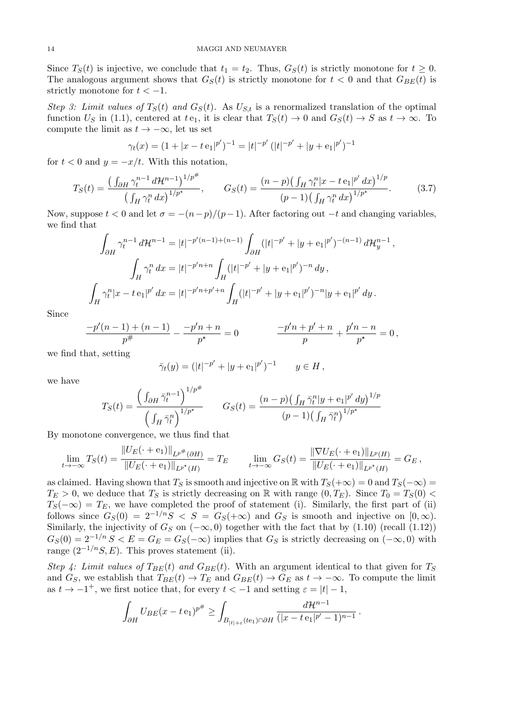Since  $T_S(t)$  is injective, we conclude that  $t_1 = t_2$ . Thus,  $G_S(t)$  is strictly monotone for  $t \geq 0$ . The analogous argument shows that  $G_S(t)$  is strictly monotone for  $t < 0$  and that  $G_{BE}(t)$  is strictly monotone for  $t < -1$ .

*Step 3: Limit values of*  $T_S(t)$  *and*  $G_S(t)$ *.* As  $U_{S,t}$  is a renormalized translation of the optimal function  $U_S$  in (1.1), centered at  $te_1$ , it is clear that  $T_S(t) \to 0$  and  $G_S(t) \to S$  as  $t \to \infty$ . To compute the limit as  $t \to -\infty$ , let us set

$$
\gamma_t(x) = (1 + |x - t e_1|^{p'})^{-1} = |t|^{-p'} (|t|^{-p'} + |y + e_1|^{p'})^{-1}
$$

for  $t < 0$  and  $y = -x/t$ . With this notation,

$$
T_S(t) = \frac{\left(\int_{\partial H} \gamma_t^{n-1} d\mathcal{H}^{n-1}\right)^{1/p^*}}{\left(\int_H \gamma_t^n dx\right)^{1/p^*}}, \qquad G_S(t) = \frac{(n-p)\left(\int_H \gamma_t^n |x - t\,\mathbf{e}_1|^{p'} dx\right)^{1/p}}{(p-1)\left(\int_H \gamma_t^n dx\right)^{1/p^*}}.
$$
(3.7)

Now, suppose  $t < 0$  and let  $\sigma = -(n-p)/(p-1)$ . After factoring out  $-t$  and changing variables, we find that

$$
\int_{\partial H} \gamma_t^{n-1} d\mathcal{H}^{n-1} = |t|^{-p'(n-1)+(n-1)} \int_{\partial H} (|t|^{-p'} + |y + e_1|^{p'})^{-(n-1)} d\mathcal{H}_y^{n-1},
$$
  

$$
\int_H \gamma_t^n dx = |t|^{-p'n+n} \int_H (|t|^{-p'} + |y + e_1|^{p'})^{-n} dy,
$$
  

$$
\int_H \gamma_t^n |x - t e_1|^{p'} dx = |t|^{-p'n+p'+n} \int_H (|t|^{-p'} + |y + e_1|^{p'})^{-n} |y + e_1|^{p'} dy.
$$

Since

$$
\frac{-p'(n-1)+(n-1)}{p^{\#}} - \frac{-p'n+n}{p^{\star}} = 0 \qquad \qquad \frac{-p'n+p'+n}{p} + \frac{p'n-n}{p^{\star}} = 0,
$$

we find that, setting

$$
\bar{\gamma}_t(y) = (|t|^{-p'} + |y + e_1|^{p'})^{-1} \qquad y \in H,
$$

we have

$$
T_S(t) = \frac{\left(\int_{\partial H} \bar{\gamma}_t^{n-1}\right)^{1/p^*}}{\left(\int_H \bar{\gamma}_t^n\right)^{1/p^*}} \qquad G_S(t) = \frac{(n-p)\left(\int_H \bar{\gamma}_t^n |y + e_1|^{p'} dy\right)^{1/p}}{(p-1)\left(\int_H \bar{\gamma}_t^n\right)^{1/p^*}}
$$

By monotone convergence, we thus find that

$$
\lim_{t \to -\infty} T_S(t) = \frac{\|U_E(\cdot + \mathbf{e}_1)\|_{L^{p^*}(\partial H)}}{\|U_E(\cdot + \mathbf{e}_1)\|_{L^{p^*}(H)}} = T_E \qquad \lim_{t \to -\infty} G_S(t) = \frac{\|\nabla U_E(\cdot + \mathbf{e}_1)\|_{L^p(H)}}{\|U_E(\cdot + \mathbf{e}_1)\|_{L^{p^*}(H)}} = G_E,
$$

as claimed. Having shown that  $T_S$  is smooth and injective on R with  $T_S(+\infty) = 0$  and  $T_S(-\infty) =$  $T_E > 0$ , we deduce that  $T_S$  is strictly decreasing on R with range  $(0, T_E)$ . Since  $T_0 = T_S(0)$  $T_S(-\infty) = T_E$ , we have completed the proof of statement (i). Similarly, the first part of (ii) follows since  $G_S(0) = 2^{-1/n}S < S = G_S(+\infty)$  and  $G_S$  is smooth and injective on  $[0, \infty)$ . Similarly, the injectivity of  $G_S$  on  $(-\infty, 0)$  together with the fact that by  $(1.10)$  (recall  $(1.12)$ )  $G_S(0) = 2^{-1/n} S < E = G_E = G_S(-\infty)$  implies that  $G_S$  is strictly decreasing on  $(-\infty, 0)$  with range  $(2^{-1/n}S, E)$ . This proves statement (ii).

*Step 4: Limit values of*  $T_{BE}(t)$  *and*  $G_{BE}(t)$ . With an argument identical to that given for  $T_S$ and  $G_S$ , we establish that  $T_{BE}(t) \rightarrow T_E$  and  $G_{BE}(t) \rightarrow G_E$  as  $t \rightarrow -\infty$ . To compute the limit as  $t \to -1^+$ , we first notice that, for every  $t < -1$  and setting  $\varepsilon = |t| - 1$ ,

$$
\int_{\partial H} U_{BE}(x-t\,\mathrm{e}_1)^{p^{\#}} \geq \int_{B_{|t|+\varepsilon}(t\mathrm{e}_1)\cap\partial H} \frac{d\mathcal{H}^{n-1}}{(|x-t\,\mathrm{e}_1|^{p'}-1)^{n-1}}.
$$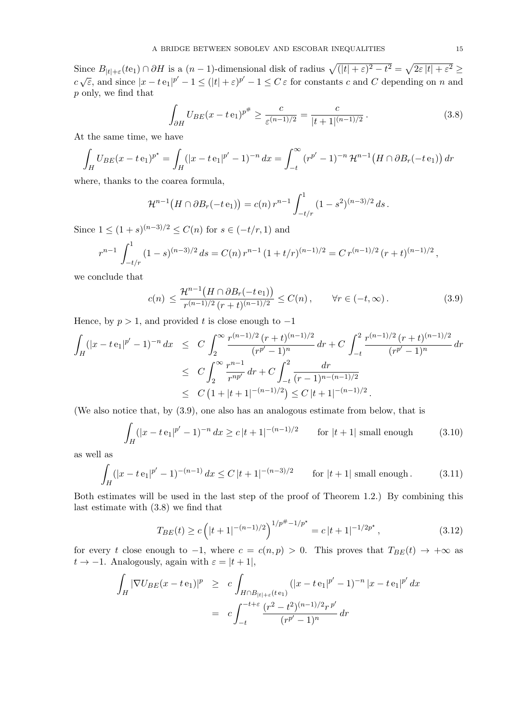Since  $B_{|t|+\varepsilon}(t_1) \cap \partial H$  is a  $(n-1)$ -dimensional disk of radius  $\sqrt{(|t|+\varepsilon)^2-t^2} = \sqrt{2\varepsilon |t| + \varepsilon^2} \ge$  $c\sqrt{\varepsilon}$ , and since  $|x - t e_1|^{p'} - 1 \le (|t| + \varepsilon)^{p'} - 1 \le C \varepsilon$  for constants c and C depending on n and *p* only, we find that

$$
\int_{\partial H} U_{BE}(x - t \mathbf{e}_1)^{p^*} \ge \frac{c}{\varepsilon^{(n-1)/2}} = \frac{c}{|t + 1|^{(n-1)/2}}.
$$
\n(3.8)

At the same time, we have

$$
\int_H U_{BE}(x - t \mathbf{e}_1)^{p^*} = \int_H (|x - t \mathbf{e}_1|^{p'} - 1)^{-n} dx = \int_{-t}^{\infty} (r^{p'} - 1)^{-n} \mathcal{H}^{n-1}(H \cap \partial B_r(-t \mathbf{e}_1)) dr
$$

where, thanks to the coarea formula,

$$
\mathcal{H}^{n-1}(H \cap \partial B_r(-t \, \mathrm{e}_1)) = c(n) \, r^{n-1} \int_{-t/r}^1 (1 - s^2)^{(n-3)/2} \, ds \, .
$$

Since  $1 \leq (1 + s)^{(n-3)/2} \leq C(n)$  for  $s \in (-t/r, 1)$  and

$$
r^{n-1} \int_{-t/r}^{1} (1-s)^{(n-3)/2} ds = C(n) r^{n-1} (1+t/r)^{(n-1)/2} = C r^{(n-1)/2} (r+t)^{(n-1)/2},
$$

we conclude that

$$
c(n) \le \frac{\mathcal{H}^{n-1}(H \cap \partial B_r(-t \, \mathrm{e}_1))}{r^{(n-1)/2} \, (r+t)^{(n-1)/2}} \le C(n), \qquad \forall r \in (-t, \infty). \tag{3.9}
$$

Hence, by *p >* 1, and provided *t* is close enough to *−*1

$$
\int_H (|x - t e_1|^{p'} - 1)^{-n} dx \le C \int_2^{\infty} \frac{r^{(n-1)/2} (r+t)^{(n-1)/2}}{(r^{p'} - 1)^n} dr + C \int_{-t}^2 \frac{r^{(n-1)/2} (r+t)^{(n-1)/2}}{(r^{p'} - 1)^n} dr
$$
\n
$$
\le C \int_2^{\infty} \frac{r^{n-1}}{r^{np'}} dr + C \int_{-t}^2 \frac{dr}{(r-1)^{n-(n-1)/2}}
$$
\n
$$
\le C \left(1 + |t + 1|^{-(n-1)/2}\right) \le C |t + 1|^{-(n-1)/2}.
$$

(We also notice that, by (3.9), one also has an analogous estimate from below, that is

$$
\int_{H} (|x - t e_1|^{p'} - 1)^{-n} dx \ge c |t + 1|^{-(n-1)/2} \qquad \text{for } |t + 1| \text{ small enough} \tag{3.10}
$$

as well as

$$
\int_{H} (|x - t e_1|^{p'} - 1)^{-(n-1)} dx \le C |t + 1|^{-(n-3)/2} \qquad \text{for } |t + 1| \text{ small enough.} \tag{3.11}
$$

Both estimates will be used in the last step of the proof of Theorem 1.2.) By combining this last estimate with (3.8) we find that

$$
T_{BE}(t) \ge c \left( |t+1|^{-(n-1)/2} \right)^{1/p^{\#}-1/p^{\star}} = c \, |t+1|^{-1/2p^{\star}}, \tag{3.12}
$$

for every *t* close enough to  $-1$ , where  $c = c(n, p) > 0$ . This proves that  $T_{BE}(t) \rightarrow +\infty$  as  $t \rightarrow -1$ . Analogously, again with  $\varepsilon = |t+1|$ ,

$$
\int_H |\nabla U_{BE}(x - t \mathbf{e}_1)|^p \ge c \int_{H \cap B_{|t|+\varepsilon}(t \mathbf{e}_1)} (|x - t \mathbf{e}_1|^{p'} - 1)^{-n} |x - t \mathbf{e}_1|^{p'} dx
$$
\n
$$
= c \int_{-t}^{-t + \varepsilon} \frac{(r^2 - t^2)^{(n-1)/2} r^{p'}}{(r^{p'} - 1)^n} dr
$$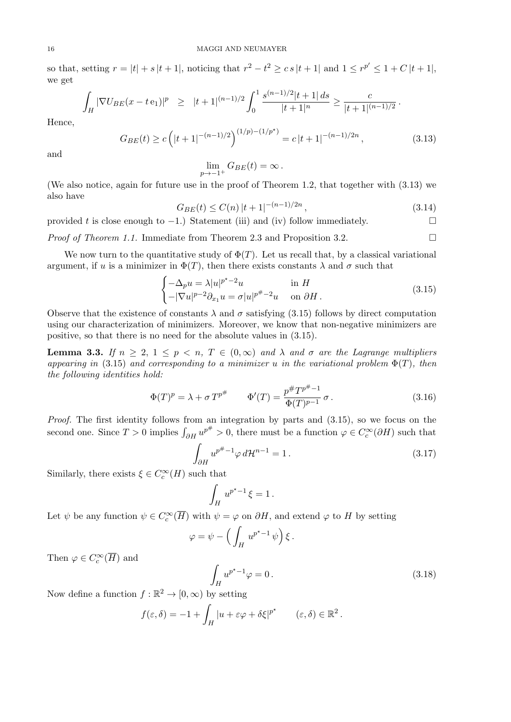so that, setting  $r = |t| + s |t + 1|$ , noticing that  $r^2 - t^2 \ge cs |t + 1|$  and  $1 \le r^{p'} \le 1 + C |t + 1|$ , we get

$$
\int_H |\nabla U_{BE}(x-t\,\mathbf{e}_1)|^p \geq |t+1|^{(n-1)/2} \int_0^1 \frac{s^{(n-1)/2} |t+1| \, ds}{|t+1|^n} \geq \frac{c}{|t+1|^{(n-1)/2}}.
$$

Hence,

$$
G_{BE}(t) \ge c\left(|t+1|^{-(n-1)/2}\right)^{(1/p)-(1/p^*)} = c|t+1|^{-(n-1)/2n},\tag{3.13}
$$

and

$$
\lim_{p\to -1^+} G_{BE}(t) = \infty.
$$

(We also notice, again for future use in the proof of Theorem 1.2, that together with (3.13) we also have

$$
G_{BE}(t) \le C(n)|t+1|^{-(n-1)/2n},\tag{3.14}
$$

provided *t* is close enough to *−*1.) Statement (iii) and (iv) follow immediately.

*Proof of Theorem 1.1.* Immediate from Theorem 2.3 and Proposition 3.2. □

We now turn to the quantitative study of  $\Phi(T)$ . Let us recall that, by a classical variational argument, if *u* is a minimizer in  $\Phi(T)$ , then there exists constants  $\lambda$  and  $\sigma$  such that

$$
\begin{cases}\n-\Delta_p u = \lambda |u|^{p^*-2}u & \text{in } H \\
-|\nabla u|^{p-2}\partial_{x_1} u = \sigma |u|^{p^*-2}u & \text{on } \partial H.\n\end{cases}
$$
\n(3.15)

Observe that the existence of constants  $\lambda$  and  $\sigma$  satisfying (3.15) follows by direct computation using our characterization of minimizers. Moreover, we know that non-negative minimizers are positive, so that there is no need for the absolute values in (3.15).

**Lemma 3.3.** *If*  $n \geq 2, 1 \leq p \leq n$ ,  $T \in (0, \infty)$  and  $\lambda$  and  $\sigma$  are the Lagrange multipliers *appearing in* (3.15) *and corresponding to a minimizer u in the variational problem* Φ(*T*)*, then the following identities hold:*

$$
\Phi(T)^p = \lambda + \sigma T^{p^{\#}} \qquad \Phi'(T) = \frac{p^{\#} T^{p^{\#}-1}}{\Phi(T)^{p-1}} \sigma.
$$
\n(3.16)

*Proof.* The first identity follows from an integration by parts and  $(3.15)$ , so we focus on the second one. Since  $T > 0$  implies  $\int_{\partial H} u^{p^{\#}} > 0$ , there must be a function  $\varphi \in C_c^{\infty}(\partial H)$  such that

$$
\int_{\partial H} u^{p^{#}-1} \varphi d\mathcal{H}^{n-1} = 1.
$$
\n(3.17)

Similarly, there exists  $\xi \in C_c^{\infty}(H)$  such that

$$
\int_H u^{p^*-1}\,\xi=1\,.
$$

Let  $\psi$  be any function  $\psi \in C_c^{\infty}(\overline{H})$  with  $\psi = \varphi$  on  $\partial H$ , and extend  $\varphi$  to  $H$  by setting

$$
\varphi = \psi - \left(\int_H u^{p^* - 1} \psi\right) \xi.
$$

Then  $\varphi \in C_c^{\infty}(\overline{H})$  and

$$
\int_{H} u^{p^* - 1} \varphi = 0. \tag{3.18}
$$

Now define a function  $f : \mathbb{R}^2 \to [0, \infty)$  by setting

$$
f(\varepsilon,\delta) = -1 + \int_H |u + \varepsilon \varphi + \delta \xi|^{p^*} \qquad (\varepsilon,\delta) \in \mathbb{R}^2.
$$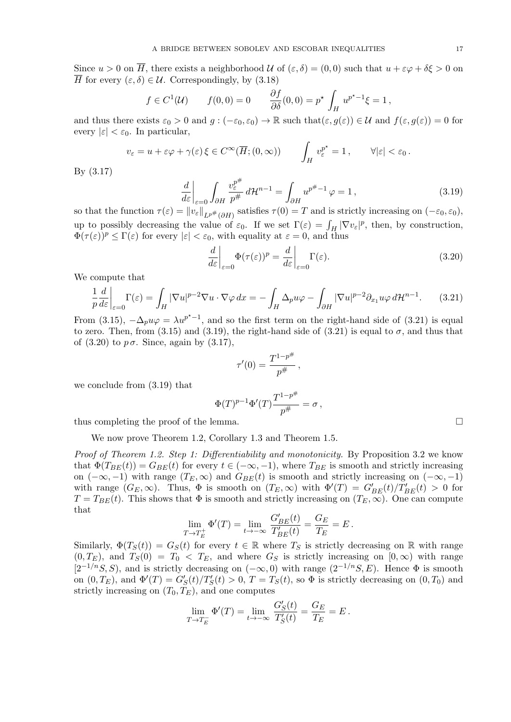Since  $u > 0$  on  $\overline{H}$ , there exists a neighborhood *U* of  $(\varepsilon, \delta) = (0, 0)$  such that  $u + \varepsilon \varphi + \delta \xi > 0$  on *H* for every  $(\varepsilon, \delta) \in \mathcal{U}$ . Correspondingly, by (3.18)

$$
f \in C^1(\mathcal{U}) \qquad f(0,0) = 0 \qquad \frac{\partial f}{\partial \delta}(0,0) = p^* \int_H u^{p^*-1} \xi = 1,
$$

and thus there exists  $\varepsilon_0 > 0$  and  $g : (-\varepsilon_0, \varepsilon_0) \to \mathbb{R}$  such that $(\varepsilon, g(\varepsilon)) \in \mathcal{U}$  and  $f(\varepsilon, g(\varepsilon)) = 0$  for every  $|\varepsilon| < \varepsilon_0$ . In particular,

$$
v_{\varepsilon} = u + \varepsilon \varphi + \gamma(\varepsilon) \, \xi \in C^{\infty}(\overline{H}; (0, \infty)) \qquad \int_{H} v_{\varepsilon}^{p^{\star}} = 1 \,, \qquad \forall |\varepsilon| < \varepsilon_{0} \, .
$$

By (3.17)

$$
\frac{d}{d\varepsilon}\bigg|_{\varepsilon=0} \int_{\partial H} \frac{v_{\varepsilon}^{p^{\#}}}{p^{\#}} d\mathcal{H}^{n-1} = \int_{\partial H} u^{p^{\#}-1} \varphi = 1, \tag{3.19}
$$

so that the function  $\tau(\varepsilon) = ||v_{\varepsilon}||_{L^{p^*}(\partial H)}$  satisfies  $\tau(0) = T$  and is strictly increasing on  $(-\varepsilon_0, \varepsilon_0)$ , up to possibly decreasing the value of  $\varepsilon_0$ . If we set  $\Gamma(\varepsilon) = \int_H |\nabla v_{\varepsilon}|^p$ , then, by construction,  $\Phi(\tau(\varepsilon))^p \leq \Gamma(\varepsilon)$  for every  $|\varepsilon| < \varepsilon_0$ , with equality at  $\varepsilon = 0$ , and thus

$$
\left. \frac{d}{d\varepsilon} \right|_{\varepsilon=0} \Phi(\tau(\varepsilon))^p = \left. \frac{d}{d\varepsilon} \right|_{\varepsilon=0} \Gamma(\varepsilon). \tag{3.20}
$$

We compute that

$$
\frac{1}{p}\frac{d}{d\varepsilon}\bigg|_{\varepsilon=0} \Gamma(\varepsilon) = \int_H |\nabla u|^{p-2} \nabla u \cdot \nabla \varphi \, dx = -\int_H \Delta_p u \varphi - \int_{\partial H} |\nabla u|^{p-2} \partial_{x_1} u \varphi \, d\mathcal{H}^{n-1}.
$$
 (3.21)

From (3.15),  $-\Delta_p u \varphi = \lambda u^{p^* - 1}$ , and so the first term on the right-hand side of (3.21) is equal to zero. Then, from (3.15) and (3.19), the right-hand side of (3.21) is equal to  $\sigma$ , and thus that of  $(3.20)$  to  $p\sigma$ . Since, again by  $(3.17)$ ,

$$
\tau'(0)=\frac{T^{1-p^\#}}{p^\#}
$$

*,*

we conclude from (3.19) that

$$
\Phi(T)^{p-1}\Phi'(T)\frac{T^{1-p^{\#}}}{p^{\#}} = \sigma,
$$

thus completing the proof of the lemma.

We now prove Theorem 1.2, Corollary 1.3 and Theorem 1.5.

*Proof of Theorem 1.2. Step 1: Differentiability and monotonicity.* By Proposition 3.2 we know that  $\Phi(T_{BE}(t)) = G_{BE}(t)$  for every  $t \in (-\infty, -1)$ , where  $T_{BE}$  is smooth and strictly increasing on ( $-\infty$ ,  $-1$ ) with range ( $T_E$ ,  $\infty$ ) and  $G_{BE}(t)$  is smooth and strictly increasing on ( $-\infty$ ,  $-1$ ) with range  $(G_E, \infty)$ . Thus,  $\Phi$  is smooth on  $(T_E, \infty)$  with  $\Phi'(T) = G'_{BE}(t)/T'_{BE}(t) > 0$  for  $T = T_{BE}(t)$ . This shows that  $\Phi$  is smooth and strictly increasing on  $(T_E, \infty)$ . One can compute that *G′*

$$
\lim_{T \to T_E^+} \Phi'(T) = \lim_{t \to -\infty} \frac{G'_{BE}(t)}{T'_{BE}(t)} = \frac{G_E}{T_E} = E.
$$

Similarly,  $\Phi(T_S(t)) = G_S(t)$  for every  $t \in \mathbb{R}$  where  $T_S$  is strictly decreasing on R with range  $(0, T_E)$ , and  $T_S(0) = T_0 < T_E$ , and where  $G_S$  is strictly increasing on  $[0, \infty)$  with range  $[2^{-1/n}S, S)$ , and is strictly decreasing on  $(-\infty, 0)$  with range  $(2^{-1/n}S, E)$ . Hence  $\Phi$  is smooth on  $(0, T_E)$ , and  $\Phi'(T) = G'_{S}(t)/T'_{S}(t) > 0$ ,  $T = T_S(t)$ , so  $\Phi$  is strictly decreasing on  $(0, T_0)$  and strictly increasing on  $(T_0, T_E)$ , and one computes

$$
\lim_{T \to T_E^-} \Phi'(T) = \lim_{t \to -\infty} \frac{G'_S(t)}{T'_S(t)} = \frac{G_E}{T_E} = E.
$$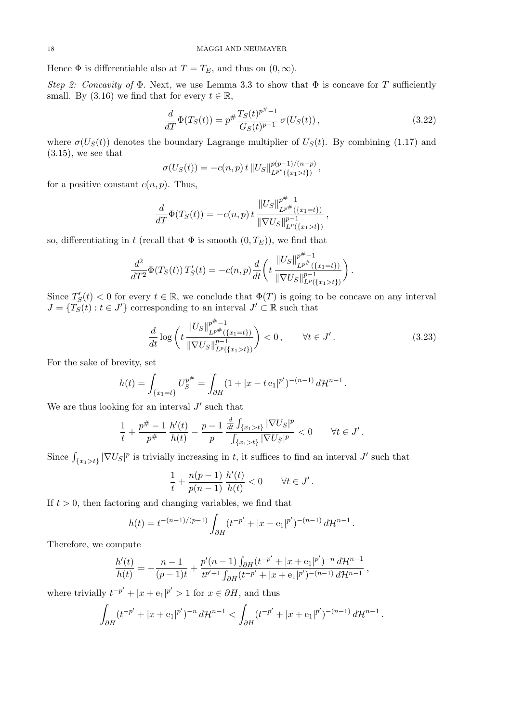Hence  $\Phi$  is differentiable also at  $T = T_E$ , and thus on  $(0, \infty)$ .

*Step 2: Concavity of*  $\Phi$ . Next, we use Lemma 3.3 to show that  $\Phi$  is concave for *T* sufficiently small. By  $(3.16)$  we find that for every  $t \in \mathbb{R}$ ,

$$
\frac{d}{dT}\Phi(T_S(t)) = p^{\#}\frac{T_S(t)^{p^{\#}-1}}{G_S(t)^{p-1}}\,\sigma(U_S(t)),\tag{3.22}
$$

where  $\sigma(U_S(t))$  denotes the boundary Lagrange multiplier of  $U_S(t)$ . By combining (1.17) and  $(3.15)$ , we see that

$$
\sigma(U_S(t)) = -c(n,p) t ||U_S||_{L^{p^*}(\{x_1 > t\})}^{p(p-1)/(n-p)},
$$

for a positive constant  $c(n, p)$ . Thus,

$$
\frac{d}{dT}\Phi(T_S(t)) = -c(n,p) t \frac{\|U_S\|_{L^{p^*}(\{x_1 = t\})}^{p^* - 1}}{\|\nabla U_S\|_{L^p(\{x_1 > t\})}^{p - 1}},
$$

so, differentiating in *t* (recall that  $\Phi$  is smooth  $(0, T_E)$ ), we find that

$$
\frac{d^2}{dT^2}\Phi(T_S(t)) T'_S(t) = -c(n,p)\frac{d}{dt}\left(t\,\frac{\|U_S\|_{L^{p^*}(\{x_1=t\})}^{p^*-1}}{\|\nabla U_S\|_{L^p(\{x_1>t\})}^{p-1}}\right).
$$

Since  $T'_{S}(t) < 0$  for every  $t \in \mathbb{R}$ , we conclude that  $\Phi(T)$  is going to be concave on any interval  $J = \{T \tilde{\mathbf{S}}(t) : t \in J'\}$  corresponding to an interval  $J' \subset \mathbb{R}$  such that

$$
\frac{d}{dt} \log \left( t \frac{\|U_S\|_{L^{p^*}(\{x_1 = t\})}^{{p^*} - 1}}{\|\nabla U_S\|_{L^p(\{x_1 > t\})}^{{p - 1}}}\right) < 0, \qquad \forall t \in J'.\tag{3.23}
$$

For the sake of brevity, set

$$
h(t) = \int_{\{x_1 = t\}} U_S^{p^{\#}} = \int_{\partial H} (1 + |x - t \, \mathbf{e}_1|^{p'})^{-(n-1)} \, d\mathcal{H}^{n-1}.
$$

We are thus looking for an interval  $J'$  such that

$$
\frac{1}{t} + \frac{p^{\#}-1}{p^{\#}} \frac{h'(t)}{h(t)} - \frac{p-1}{p} \frac{\frac{d}{dt} \int_{\{x_1 > t\}} |\nabla U_S|^p}{\int_{\{x_1 > t\}} |\nabla U_S|^p} < 0 \quad \forall t \in J'.
$$

Since  $\int_{\{x_1 > t\}} |\nabla U_S|^p$  is trivially increasing in *t*, it suffices to find an interval *J'* such that

$$
\frac{1}{t} + \frac{n(p-1)}{p(n-1)} \frac{h'(t)}{h(t)} < 0 \qquad \forall t \in J'.
$$

If  $t > 0$ , then factoring and changing variables, we find that

$$
h(t) = t^{-(n-1)/(p-1)} \int_{\partial H} (t^{-p'} + |x - e_1|^{p'})^{-(n-1)} d\mathcal{H}^{n-1}.
$$

Therefore, we compute

$$
\frac{h'(t)}{h(t)} = -\frac{n-1}{(p-1)t} + \frac{p'(n-1)\int_{\partial H} (t^{-p'} + |x + e_1|^{p'})^{-n} d\mathcal{H}^{n-1}}{t^{p'+1}\int_{\partial H} (t^{-p'} + |x + e_1|^{p'})^{-(n-1)} d\mathcal{H}^{n-1}},
$$

where trivially  $t^{-p'} + |x + e_1|^{p'} > 1$  for  $x \in \partial H$ , and thus

$$
\int_{\partial H} (t^{-p'} + |x + \mathbf{e}_1|^{p'})^{-n} d\mathcal{H}^{n-1} < \int_{\partial H} (t^{-p'} + |x + \mathbf{e}_1|^{p'})^{-(n-1)} d\mathcal{H}^{n-1}.
$$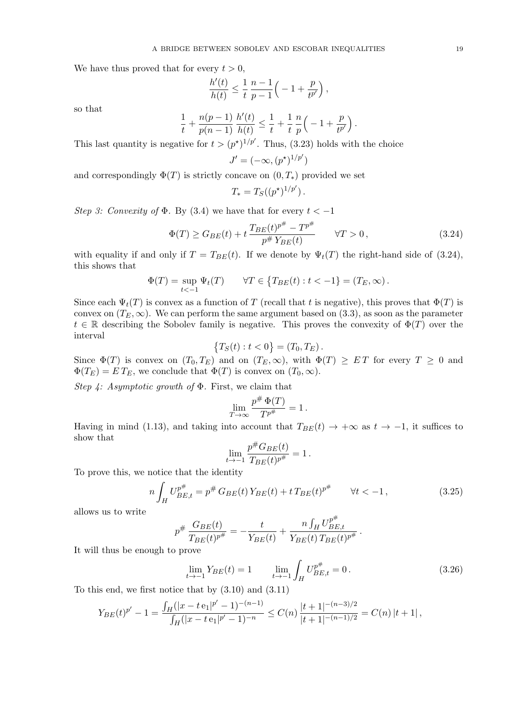We have thus proved that for every  $t > 0$ ,

$$
\frac{h'(t)}{h(t)} \le \frac{1}{t} \frac{n-1}{p-1} \Big( -1 + \frac{p}{t^{p'}} \Big) ,
$$

so that

$$
\frac{1}{t} + \frac{n(p-1)}{p(n-1)} \frac{h'(t)}{h(t)} \le \frac{1}{t} + \frac{1}{t} \frac{n}{p} \left( -1 + \frac{p}{t^{p'}} \right).
$$

This last quantity is negative for  $t > (p^*)^{1/p'}$ . Thus, (3.23) holds with the choice

$$
J' = (-\infty, (p^*)^{1/p'})
$$

and correspondingly  $\Phi(T)$  is strictly concave on  $(0, T_*)$  provided we set

$$
T_* = T_S((p^*)^{1/p'}).
$$

*Step 3: Convexity of*  $\Phi$ *.* By (3.4) we have that for every  $t < -1$ 

$$
\Phi(T) \ge G_{BE}(t) + t \frac{T_{BE}(t)^{p^{\#}} - T^{p^{\#}}}{p^{\#} Y_{BE}(t)} \qquad \forall T > 0,
$$
\n(3.24)

with equality if and only if  $T = T_{BE}(t)$ . If we denote by  $\Psi_t(T)$  the right-hand side of (3.24), this shows that

$$
\Phi(T) = \sup_{t < -1} \Psi_t(T) \qquad \forall T \in \{T_{BE}(t) : t < -1\} = (T_E, \infty).
$$

Since each  $\Psi_t(T)$  is convex as a function of *T* (recall that *t* is negative), this proves that  $\Phi(T)$  is convex on  $(T_E, \infty)$ . We can perform the same argument based on  $(3.3)$ , as soon as the parameter  $t \in \mathbb{R}$  describing the Sobolev family is negative. This proves the convexity of  $\Phi(T)$  over the interval

$$
\{T_S(t) : t < 0\} = (T_0, T_E).
$$

Since  $\Phi(T)$  is convex on  $(T_0, T_E)$  and on  $(T_E, \infty)$ , with  $\Phi(T) \geq ET$  for every  $T \geq 0$  and  $\Phi(T_E) = ET_E$ , we conclude that  $\Phi(T)$  is convex on  $(T_0, \infty)$ .

*Step 4: Asymptotic growth of* Φ*.* First, we claim that

$$
\lim_{T \to \infty} \frac{p^{\#} \Phi(T)}{T^{p^{\#}}} = 1.
$$

Having in mind (1.13), and taking into account that  $T_{BE}(t) \rightarrow +\infty$  as  $t \rightarrow -1$ , it suffices to show that  $\theta$ *B*<sub>B</sub> $\theta$ </sub>

$$
\lim_{t \to -1} \frac{p^{\#} G_{BE}(t)}{T_{BE}(t)^{p^{\#}}} = 1.
$$

To prove this, we notice that the identity

$$
n\int_{H} U_{BE,t}^{p^{\#}} = p^{\#} G_{BE}(t) Y_{BE}(t) + t T_{BE}(t)^{p^{\#}} \qquad \forall t < -1,
$$
\n(3.25)

allows us to write

$$
p^{\#} \frac{G_{BE}(t)}{T_{BE}(t)^{p^{\#}}} = -\frac{t}{Y_{BE}(t)} + \frac{n \int_H U_{BE,t}^{p^{\#}}}{Y_{BE}(t) T_{BE}(t)^{p^{\#}}}.
$$

It will thus be enough to prove

$$
\lim_{t \to -1} Y_{BE}(t) = 1 \qquad \lim_{t \to -1} \int_H U_{BE,t}^{p^{\#}} = 0. \tag{3.26}
$$

*p*#

To this end, we first notice that by (3.10) and (3.11)

$$
Y_{BE}(t)^{p'} - 1 = \frac{\int_H (|x - t e_1|^{p'} - 1)^{-(n-1)}}{\int_H (|x - t e_1|^{p'} - 1)^{-n}} \le C(n) \frac{|t + 1|^{-(n-3)/2}}{|t + 1|^{-(n-1)/2}} = C(n) |t + 1|,
$$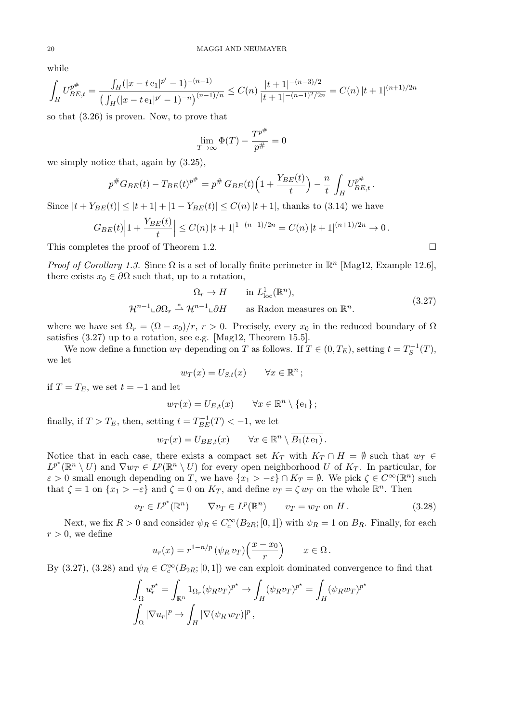while

$$
\int_H U_{BE,t}^{p^{\#}} = \frac{\int_H (|x - t \mathbf{e}_1|^{p'} - 1)^{-(n-1)}}{\left(\int_H (|x - t \mathbf{e}_1|^{p'} - 1)^{-n}\right)^{(n-1)/n}} \le C(n) \frac{|t + 1|^{-(n-3)/2}}{|t + 1|^{-(n-1)/2}/2n} = C(n) |t + 1|^{-(n+1)/2n}
$$

so that (3.26) is proven. Now, to prove that

$$
\lim_{T \to \infty} \Phi(T) - \frac{T^{p^{\#}}}{p^{\#}} = 0
$$

we simply notice that, again by (3.25),

$$
p^{\#}G_{BE}(t) - T_{BE}(t)^{p^{\#}} = p^{\#} G_{BE}(t) \left( 1 + \frac{Y_{BE}(t)}{t} \right) - \frac{n}{t} \int_H U_{BE,t}^{p^{\#}}.
$$

Since  $|t + Y_{BE}(t)|$  ≤  $|t + 1| + |1 - Y_{BE}(t)|$  ≤  $C(n) |t + 1|$ , thanks to (3.14) we have

$$
G_{BE}(t)\left|1+\frac{Y_{BE}(t)}{t}\right| \leq C(n)|t+1|^{1-(n-1)/2n} = C(n)|t+1|^{(n+1)/2n} \to 0.
$$

This completes the proof of Theorem 1.2.

*Proof of Corollary 1.3.* Since  $\Omega$  is a set of locally finite perimeter in  $\mathbb{R}^n$  [Mag12, Example 12.6], there exists  $x_0 \in \partial \Omega$  such that, up to a rotation,

$$
\Omega_r \to H \qquad \text{in } L^1_{\text{loc}}(\mathbb{R}^n),
$$
  

$$
\mathcal{H}^{n-1} \text{L}\partial\Omega_r \stackrel{*}{\rightharpoonup} \mathcal{H}^{n-1} \text{L}\partial H \qquad \text{as Radon measures on } \mathbb{R}^n.
$$
 (3.27)

where we have set  $\Omega_r = (\Omega - x_0)/r$ ,  $r > 0$ . Precisely, every  $x_0$  in the reduced boundary of  $\Omega$ satisfies (3.27) up to a rotation, see e.g. [Mag12, Theorem 15.5].

We now define a function  $w_T$  depending on *T* as follows. If  $T \in (0, T_E)$ , setting  $t = T_S^{-1}(T)$ , we let

$$
w_T(x) = U_{S,t}(x) \qquad \forall x \in \mathbb{R}^n ;
$$

if  $T = T_E$ , we set  $t = -1$  and let

$$
w_T(x) = U_{E,t}(x) \qquad \forall x \in \mathbb{R}^n \setminus \{e_1\};
$$

finally, if  $T > T_E$ , then, setting  $t = T_{BE}^{-1}(T) < -1$ , we let

$$
w_T(x) = U_{BE,t}(x) \quad \forall x \in \mathbb{R}^n \setminus \overline{B_1(te_1)}.
$$

Notice that in each case, there exists a compact set  $K_T$  with  $K_T \cap H = \emptyset$  such that  $w_T \in$  $L^{p^*}(\mathbb{R}^n \setminus U)$  and  $\nabla w_T \in L^p(\mathbb{R}^n \setminus U)$  for every open neighborhood *U* of  $K_T$ . In particular, for  $\varepsilon > 0$  small enough depending on *T*, we have  $\{x_1 > -\varepsilon\} \cap K_T = \emptyset$ . We pick  $\zeta \in C^\infty(\mathbb{R}^n)$  such that  $\zeta = 1$  on  $\{x_1 > -\varepsilon\}$  and  $\zeta = 0$  on  $K_T$ , and define  $v_T = \zeta w_T$  on the whole  $\mathbb{R}^n$ . Then

$$
v_T \in L^{p^*}(\mathbb{R}^n) \qquad \nabla v_T \in L^p(\mathbb{R}^n) \qquad v_T = w_T \text{ on } H. \tag{3.28}
$$

Next, we fix  $R > 0$  and consider  $\psi_R \in C_c^{\infty}(B_{2R};[0,1])$  with  $\psi_R = 1$  on  $B_R$ . Finally, for each  $r > 0$ , we define

$$
u_r(x) = r^{1-n/p} \left( \psi_R v_T \right) \left( \frac{x - x_0}{r} \right) \qquad x \in \Omega.
$$

By (3.27), (3.28) and  $\psi_R \in C_c^{\infty}(B_{2R};[0,1])$  we can exploit dominated convergence to find that

$$
\int_{\Omega} u_r^{p^*} = \int_{\mathbb{R}^n} 1_{\Omega_r} (\psi_R v_T)^{p^*} \to \int_H (\psi_R v_T)^{p^*} = \int_H (\psi_R w_T)^{p^*}
$$

$$
\int_{\Omega} |\nabla u_r|^p \to \int_H |\nabla (\psi_R w_T)|^p,
$$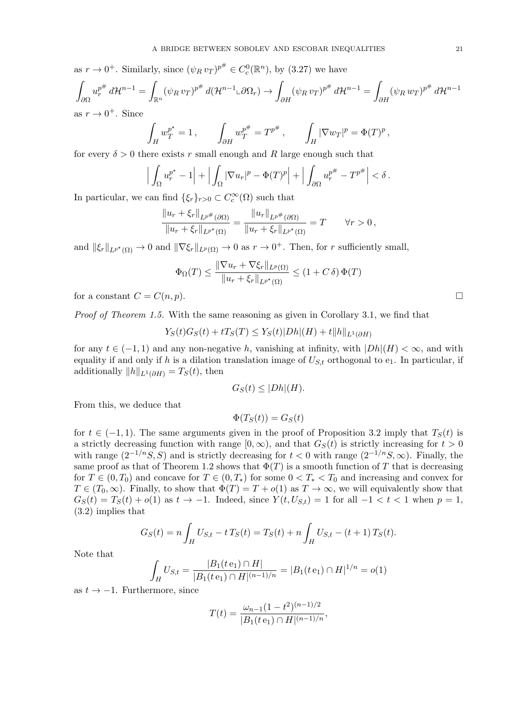as  $r \to 0^+$ . Similarly, since  $(\psi_R v_T)^{p^{\#}} \in C_c^0(\mathbb{R}^n)$ , by (3.27) we have

$$
\int_{\partial\Omega} u_r^{p^{\#}} d\mathcal{H}^{n-1} = \int_{\mathbb{R}^n} (\psi_R v_T)^{p^{\#}} d(\mathcal{H}^{n-1} \iota \partial \Omega_r) \to \int_{\partial H} (\psi_R v_T)^{p^{\#}} d\mathcal{H}^{n-1} = \int_{\partial H} (\psi_R w_T)^{p^{\#}} d\mathcal{H}^{n-1}
$$
as  $r \to 0^+$ . Since

$$
\int_H w_T^{p^*} = 1, \qquad \int_{\partial H} w_T^{p^{\#}} = T^{p^{\#}}, \qquad \int_H |\nabla w_T|^p = \Phi(T)^p,
$$

for every  $\delta > 0$  there exists r small enough and R large enough such that

$$
\left| \int_{\Omega} u_r^{p^*} - 1 \right| + \left| \int_{\Omega} |\nabla u_r|^p - \Phi(T)^p \right| + \left| \int_{\partial \Omega} u_r^{p^*} - T^{p^*} \right| < \delta.
$$

In particular, we can find  $\{\xi_r\}_{r>0} \subset C_c^{\infty}(\Omega)$  such that

$$
\frac{\|u_r + \xi_r\|_{L^{p^*}(\partial\Omega)}}{\|u_r + \xi_r\|_{L^{p^*}(\Omega)}} = \frac{\|u_r\|_{L^{p^*}(\partial\Omega)}}{\|u_r + \xi_r\|_{L^{p^*}(\Omega)}} = T \qquad \forall r > 0,
$$

and  $\|\xi_r\|_{L^{p^*}(\Omega)} \to 0$  and  $\|\nabla \xi_r\|_{L^p(\Omega)} \to 0$  as  $r \to 0^+$ . Then, for *r* sufficiently small,

$$
\Phi_{\Omega}(T) \le \frac{\|\nabla u_r + \nabla \xi_r\|_{L^p(\Omega)}}{\|u_r + \xi_r\|_{L^{p^*}(\Omega)}} \le (1 + C\,\delta)\,\Phi(T)
$$

for a constant  $C = C(n, p)$ .

*Proof of Theorem 1.5.* With the same reasoning as given in Corollary 3.1, we find that

$$
Y_S(t)G_S(t) + tT_S(T) \le Y_S(t)|Dh|(H) + t||h||_{L^1(\partial H)}
$$

for any  $t \in (-1, 1)$  and any non-negative *h*, vanishing at infinity, with  $|Dh|(H) < \infty$ , and with equality if and only if *h* is a dilation translation image of  $U_{S,t}$  orthogonal to e<sub>1</sub>. In particular, if additionally  $||h||_{L^1(\partial H)} = T_S(t)$ , then

$$
G_S(t) \le |Dh|(H).
$$

From this, we deduce that

$$
\Phi(T_S(t)) = G_S(t)
$$

for  $t \in (-1, 1)$ . The same arguments given in the proof of Proposition 3.2 imply that  $T_S(t)$  is a strictly decreasing function with range  $[0, \infty)$ , and that  $G_S(t)$  is strictly increasing for  $t > 0$ with range  $(2^{-1/n}S, S)$  and is strictly decreasing for  $t < 0$  with range  $(2^{-1/n}S, \infty)$ . Finally, the same proof as that of Theorem 1.2 shows that  $\Phi(T)$  is a smooth function of T that is decreasing for  $T \in (0, T_0)$  and concave for  $T \in (0, T_*)$  for some  $0 < T_* < T_0$  and increasing and convex for  $T \in (T_0, \infty)$ . Finally, to show that  $\Phi(T) = T + o(1)$  as  $T \to \infty$ , we will equivalently show that  $G_S(t) = T_S(t) + o(1)$  as  $t \to -1$ . Indeed, since  $Y(t, U_{S,t}) = 1$  for all  $-1 < t < 1$  when  $p = 1$ , (3.2) implies that

$$
G_S(t) = n \int_H U_{S,t} - t \, T_S(t) = T_S(t) + n \int_H U_{S,t} - (t+1) \, T_S(t).
$$

Note that

$$
\int_H U_{S,t} = \frac{|B_1(t e_1) \cap H|}{|B_1(t e_1) \cap H|^{(n-1)/n}} = |B_1(t e_1) \cap H|^{1/n} = o(1)
$$

as *t → −*1. Furthermore, since

$$
T(t) = \frac{\omega_{n-1}(1-t^2)^{(n-1)/2}}{|B_1(t e_1) \cap H|^{(n-1)/n}},
$$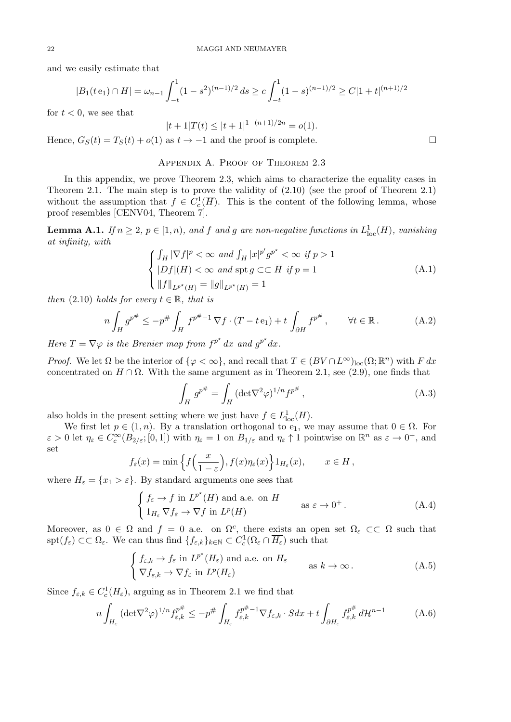and we easily estimate that

$$
|B_1(te_1) \cap H| = \omega_{n-1} \int_{-t}^1 (1 - s^2)^{(n-1)/2} ds \ge c \int_{-t}^1 (1 - s)^{(n-1)/2} \ge C|1 + t|^{(n+1)/2}
$$

for  $t < 0$ , we see that

 $|t + 1|T(t) \leq |t + 1|^{1-(n+1)/2n} = o(1)$ *.* 

Hence,  $G_S(t) = T_S(t) + o(1)$  as  $t \to -1$  and the proof is complete.

## Appendix A. Proof of Theorem 2.3

In this appendix, we prove Theorem 2.3, which aims to characterize the equality cases in Theorem 2.1. The main step is to prove the validity of (2.10) (see the proof of Theorem 2.1) without the assumption that  $f \in C_c^1(\overline{H})$ . This is the content of the following lemma, whose proof resembles [CENV04, Theorem 7].

**Lemma A.1.** *If*  $n \geq 2$ ,  $p \in [1, n)$ , and *f* and *g* are non-negative functions in  $L^1_{loc}(H)$ , vanishing *at infinity, with*

$$
\begin{cases} \int_H |\nabla f|^p < \infty \text{ and } \int_H |x|^{p'} g^{p^*} < \infty \text{ if } p > 1 \\ |Df|(H) < \infty \text{ and } \text{spt } g \subset\subset \overline{H} \text{ if } p = 1 \\ \|f\|_{L^{p^*}(H)} = \|g\|_{L^{p^*}(H)} = 1 \end{cases} \tag{A.1}
$$

*then*  $(2.10)$  *holds for every*  $t \in \mathbb{R}$ *, that is* 

$$
n\int_H g^{p^{\#}} \le -p^{\#} \int_H f^{p^{\#}-1} \nabla f \cdot (T - t \mathbf{e}_1) + t \int_{\partial H} f^{p^{\#}}, \qquad \forall t \in \mathbb{R}.
$$
 (A.2)

*Here*  $T = \nabla \varphi$  *is the Brenier map from*  $f^{p^*} dx$  *and*  $g^{p^*} dx$ .

*Proof.* We let  $\Omega$  be the interior of  $\{\varphi < \infty\}$ , and recall that  $T \in (BV \cap L^{\infty})_{loc}(\Omega; \mathbb{R}^n)$  with *F dx* concentrated on  $H \cap \Omega$ . With the same argument as in Theorem 2.1, see (2.9), one finds that

$$
\int_H g^{p^{\#}} = \int_H (\det \nabla^2 \varphi)^{1/n} f^{p^{\#}}, \qquad (A.3)
$$

also holds in the present setting where we just have  $f \in L^1_{loc}(H)$ .

We first let  $p \in (1, n)$ . By a translation orthogonal to e<sub>1</sub>, we may assume that  $0 \in \Omega$ . For  $\varepsilon > 0$  let  $\eta_{\varepsilon} \in C_c^{\infty}(B_{2/\varepsilon};[0,1])$  with  $\eta_{\varepsilon} = 1$  on  $B_{1/\varepsilon}$  and  $\eta_{\varepsilon} \uparrow 1$  pointwise on  $\mathbb{R}^n$  as  $\varepsilon \to 0^+$ , and set

$$
f_{\varepsilon}(x) = \min \left\{ f\left(\frac{x}{1-\varepsilon}\right), f(x)\eta_{\varepsilon}(x) \right\} 1_{H_{\varepsilon}}(x), \quad x \in H,
$$

where  $H_{\varepsilon} = \{x_1 > \varepsilon\}$ . By standard arguments one sees that

$$
\begin{cases}\nf_{\varepsilon} \to f \text{ in } L^{p^*}(H) \text{ and a.e. on } H \\
1_{H_{\varepsilon}} \nabla f_{\varepsilon} \to \nabla f \text{ in } L^p(H)\n\end{cases}\n\text{ as } \varepsilon \to 0^+.
$$
\n(A.4)

Moreover, as  $0 \in \Omega$  and  $f = 0$  a.e. on  $\Omega^c$ , there exists an open set  $\Omega_\varepsilon \subset\subset \Omega$  such that  $\text{Spt}(f_{\varepsilon}) \subset\subset \Omega_{\varepsilon}$ . We can thus find  $\{f_{\varepsilon,k}\}_{k\in\mathbb{N}} \subset C_c^1(\Omega_{\varepsilon} \cap \overline{H_{\varepsilon}})$  such that

$$
\begin{cases} f_{\varepsilon,k} \to f_{\varepsilon} \text{ in } L^{p^*}(H_{\varepsilon}) \text{ and a.e. on } H_{\varepsilon} \\ \nabla f_{\varepsilon,k} \to \nabla f_{\varepsilon} \text{ in } L^p(H_{\varepsilon}) \end{cases} \text{ as } k \to \infty.
$$
 (A.5)

Since  $f_{\varepsilon,k} \in C_c^1(\overline{H_{\varepsilon}})$ , arguing as in Theorem 2.1 we find that

$$
n\int_{H_{\varepsilon}} (\det \nabla^2 \varphi)^{1/n} f_{\varepsilon,k}^{p^{\#}} \le -p^{\#} \int_{H_{\varepsilon}} f_{\varepsilon,k}^{p^{\#}-1} \nabla f_{\varepsilon,k} \cdot S dx + t \int_{\partial H_{\varepsilon}} f_{\varepsilon,k}^{p^{\#}} d\mathcal{H}^{n-1}
$$
(A.6)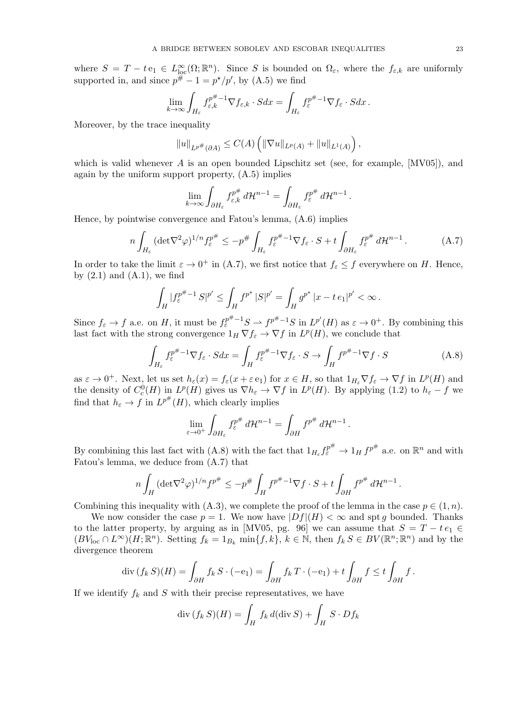where  $S = T - t e_1 \in L^{\infty}_{loc}(\Omega;\mathbb{R}^n)$ . Since *S* is bounded on  $\Omega_{\varepsilon}$ , where the  $f_{\varepsilon,k}$  are uniformly supported in, and since  $p^{\#} - 1 = p^{\star}/p'$ , by (A.5) we find

$$
\lim_{k \to \infty} \int_{H_{\varepsilon}} f_{\varepsilon,k}^{p^{\#}-1} \nabla f_{\varepsilon,k} \cdot S dx = \int_{H_{\varepsilon}} f_{\varepsilon}^{p^{\#}-1} \nabla f_{\varepsilon} \cdot S dx \, .
$$

Moreover, by the trace inequality

$$
||u||_{L^{p^{\#}}(\partial A)} \leq C(A) \left( ||\nabla u||_{L^{p}(A)} + ||u||_{L^{1}(A)} \right),
$$

which is valid whenever *A* is an open bounded Lipschitz set (see, for example, [MV05]), and again by the uniform support property, (A.5) implies

$$
\lim_{k \to \infty} \int_{\partial H_{\varepsilon}} f_{\varepsilon,k}^{p^{\#}} d\mathcal{H}^{n-1} = \int_{\partial H_{\varepsilon}} f_{\varepsilon}^{p^{\#}} d\mathcal{H}^{n-1}
$$

Hence, by pointwise convergence and Fatou's lemma, (A.6) implies

$$
n\int_{H_{\varepsilon}} (\det \nabla^2 \varphi)^{1/n} f_{\varepsilon}^{p^{\#}} \le -p^{\#} \int_{H_{\varepsilon}} f_{\varepsilon}^{p^{\#}-1} \nabla f_{\varepsilon} \cdot S + t \int_{\partial H_{\varepsilon}} f_{\varepsilon}^{p^{\#}} d\mathcal{H}^{n-1}.
$$
 (A.7)

*.*

In order to take the limit  $\varepsilon \to 0^+$  in (A.7), we first notice that  $f_{\varepsilon} \leq f$  everywhere on *H*. Hence, by  $(2.1)$  and  $(A.1)$ , we find

$$
\int_H |f_{\varepsilon}^{p^{\#}-1} S|^{p'} \leq \int_H f^{p^{\star}} |S|^{p'} = \int_H g^{p^{\star}} |x - t e_1|^{p'} < \infty.
$$

Since  $f_{\varepsilon} \to f$  a.e. on H, it must be  $f_{\varepsilon}^{p^{\#}-1}S \to f^{p^{\#}-1}S$  in  $L^{p'}(H)$  as  $\varepsilon \to 0^+$ . By combining this last fact with the strong convergence  $1_H \nabla f_\varepsilon \to \nabla f$  in  $L^p(H)$ , we conclude that

$$
\int_{H_{\varepsilon}} f_{\varepsilon}^{p^{\#}-1} \nabla f_{\varepsilon} \cdot S dx = \int_{H} f_{\varepsilon}^{p^{\#}-1} \nabla f_{\varepsilon} \cdot S \to \int_{H} f^{p^{\#}-1} \nabla f \cdot S \tag{A.8}
$$

as  $\varepsilon \to 0^+$ . Next, let us set  $h_{\varepsilon}(x) = f_{\varepsilon}(x + \varepsilon e_1)$  for  $x \in H$ , so that  $1_{H_{\varepsilon}} \nabla f_{\varepsilon} \to \nabla f$  in  $L^p(H)$  and the density of  $C_c^0(H)$  in  $L^p(H)$  gives us  $\nabla h_{\varepsilon} \to \nabla f$  in  $L^p(H)$ . By applying (1.2) to  $h_{\varepsilon} - f$  we find that  $h_{\varepsilon} \to f$  in  $L^{p^{\#}}(H)$ , which clearly implies

$$
\lim_{\varepsilon \to 0^+} \int_{\partial H_{\varepsilon}} f_{\varepsilon}^{p^{\#}} d\mathcal{H}^{n-1} = \int_{\partial H} f^{p^{\#}} d\mathcal{H}^{n-1}.
$$

By combining this last fact with  $(A.8)$  with the fact that  $1_{H_\varepsilon} f_\varepsilon^{p^\#} \to 1_H f^{p^\#}$  a.e. on  $\mathbb{R}^n$  and with Fatou's lemma, we deduce from (A.7) that

$$
n\int_H (\det \nabla^2 \varphi)^{1/n} f^{p^{\#}} \le -p^{\#} \int_H f^{p^{\#}-1} \nabla f \cdot S + t \int_{\partial H} f^{p^{\#}} d\mathcal{H}^{n-1}.
$$

Combining this inequality with  $(A.3)$ , we complete the proof of the lemma in the case  $p \in (1, n)$ .

We now consider the case  $p = 1$ . We now have  $|Df|(H) < \infty$  and spt *q* bounded. Thanks to the latter property, by arguing as in [MV05, pg. 96] we can assume that  $S = T - te_1 \in$  $(BV_{\text{loc}} \cap L^{\infty})(H;\mathbb{R}^n)$ . Setting  $f_k = 1_{B_k} \min\{f,k\}, k \in \mathbb{N}$ , then  $f_k S \in BV(\mathbb{R}^n;\mathbb{R}^n)$  and by the divergence theorem

$$
\operatorname{div}(f_k S)(H) = \int_{\partial H} f_k S \cdot (-\mathbf{e}_1) = \int_{\partial H} f_k T \cdot (-\mathbf{e}_1) + t \int_{\partial H} f \le t \int_{\partial H} f.
$$

If we identify  $f_k$  and  $S$  with their precise representatives, we have

$$
\operatorname{div} (f_k S)(H) = \int_H f_k d(\operatorname{div} S) + \int_H S \cdot Df_k
$$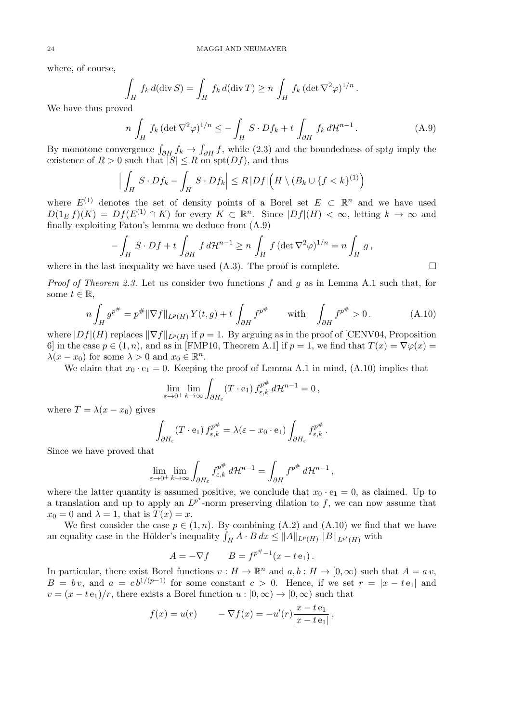where, of course,

$$
\int_H f_k d(\operatorname{div} S) = \int_H f_k d(\operatorname{div} T) \ge n \int_H f_k (\operatorname{det} \nabla^2 \varphi)^{1/n}.
$$

We have thus proved

$$
n\int_H f_k \left(\det \nabla^2 \varphi\right)^{1/n} \le -\int_H S \cdot Df_k + t \int_{\partial H} f_k d\mathcal{H}^{n-1}.
$$
 (A.9)

By monotone convergence  $\int_{\partial H} f_k \to \int_{\partial H} f$ , while (2.3) and the boundedness of spt*g* imply the existence of  $R > 0$  such that  $|S| \leq R$  on spt $(Df)$ , and thus

$$
\Big|\int_H S \cdot Df_k - \int_H S \cdot Df_k\Big|\leq R\, |Df|\Big(H \setminus (B_k \cup \{f < k\}^{(1)}\Big)
$$

where  $E^{(1)}$  denotes the set of density points of a Borel set  $E \subset \mathbb{R}^n$  and we have used  $D(1_E f)(K) = Df(E^{(1)} \cap K)$  for every  $K \subset \mathbb{R}^n$ . Since  $|Df|(H) < \infty$ , letting  $k \to \infty$  and finally exploiting Fatou's lemma we deduce from (A.9)

$$
-\int_H S \cdot Df + t \int_{\partial H} f d\mathcal{H}^{n-1} \ge n \int_H f (\det \nabla^2 \varphi)^{1/n} = n \int_H g,
$$

where in the last inequality we have used  $(A.3)$ . The proof is complete.

*Proof of Theorem 2.3.* Let us consider two functions *f* and *g* as in Lemma A.1 such that, for some  $t \in \mathbb{R}$ ,

$$
n\int_{H} g^{p^{\#}} = p^{\#} \|\nabla f\|_{L^{p}(H)} Y(t, g) + t \int_{\partial H} f^{p^{\#}} \quad \text{with} \quad \int_{\partial H} f^{p^{\#}} > 0.
$$
 (A.10)

where  $|Df|(H)$  replaces  $\|\nabla f\|_{L^p(H)}$  if  $p=1$ . By arguing as in the proof of [CENV04, Proposition 6] in the case  $p \in (1, n)$ , and as in [FMP10, Theorem A.1] if  $p = 1$ , we find that  $T(x) = \nabla \varphi(x)$  $\lambda(x - x_0)$  for some  $\lambda > 0$  and  $x_0 \in \mathbb{R}^n$ .

We claim that  $x_0 \cdot e_1 = 0$ . Keeping the proof of Lemma A.1 in mind, (A.10) implies that

$$
\lim_{\varepsilon \to 0^+} \lim_{k \to \infty} \int_{\partial H_{\varepsilon}} (T \cdot \mathbf{e}_1) f_{\varepsilon,k}^{p^{\#}} d\mathcal{H}^{n-1} = 0,
$$

where  $T = \lambda(x - x_0)$  gives

$$
\int_{\partial H_{\varepsilon}} (T \cdot \mathbf{e}_1) f_{\varepsilon,k}^{p^{\#}} = \lambda (\varepsilon - x_0 \cdot \mathbf{e}_1) \int_{\partial H_{\varepsilon}} f_{\varepsilon,k}^{p^{\#}}.
$$

Since we have proved that

$$
\lim_{\varepsilon \to 0^+} \lim_{k \to \infty} \int_{\partial H_{\varepsilon}} f_{\varepsilon,k}^{p^{\#}} d\mathcal{H}^{n-1} = \int_{\partial H} f^{p^{\#}} d\mathcal{H}^{n-1},
$$

where the latter quantity is assumed positive, we conclude that  $x_0 \cdot e_1 = 0$ , as claimed. Up to a translation and up to apply an  $L^{p^*}$ -norm preserving dilation to f, we can now assume that  $x_0 = 0$  and  $\lambda = 1$ , that is  $T(x) = x$ .

We first consider the case  $p \in (1, n)$ . By combining  $(A.2)$  and  $(A.10)$  we find that we have an equality case in the Hölder's inequality  $\int_H A \cdot B dx \le ||A||_{L^p(H)} ||B||_{L^{p'}(H)}$  with

$$
A = -\nabla f
$$
  $B = f^{p^{#}-1}(x - t e_1)$ .

In particular, there exist Borel functions  $v : H \to \mathbb{R}^n$  and  $a, b : H \to [0, \infty)$  such that  $A = a v$ ,  $B = bv$ , and  $a = cb^{1/(p-1)}$  for some constant  $c > 0$ . Hence, if we set  $r = |x - te_1|$  and  $v = (x - t e_1)/r$ , there exists a Borel function  $u : [0, \infty) \to [0, \infty)$  such that

$$
f(x) = u(r)
$$
  $-\nabla f(x) = -u'(r)\frac{x - t e_1}{|x - t e_1|},$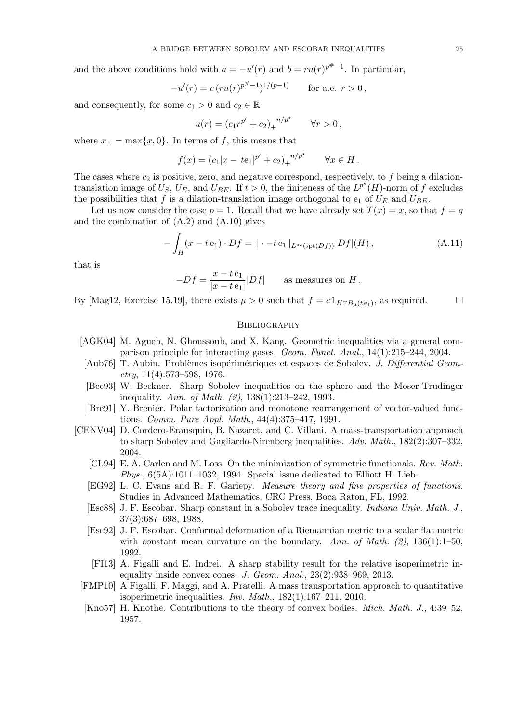and the above conditions hold with  $a = -u'(r)$  and  $b = ru(r)^{p^{\#}-1}$ . In particular,

$$
-u'(r) = c (ru(r)^{p^{\#}-1})^{1/(p-1)} \quad \text{for a.e. } r > 0,
$$

and consequently, for some  $c_1 > 0$  and  $c_2 \in \mathbb{R}$ 

$$
u(r) = (c_1 r^{p'} + c_2)_+^{-n/p^*} \qquad \forall r > 0,
$$

where  $x_+ = \max\{x, 0\}$ . In terms of *f*, this means that

$$
f(x) = (c_1|x - t e_1|^{p'} + c_2)_+^{-n/p^*} \qquad \forall x \in H.
$$

The cases where  $c_2$  is positive, zero, and negative correspond, respectively, to  $f$  being a dilationtranslation image of  $\hat{U}_S$ ,  $U_E$ , and  $\hat{U}_{BE}$ . If  $t > 0$ , the finiteness of the  $L^{p^*}(H)$ -norm of f excludes the possibilities that  $f$  is a dilation-translation image orthogonal to  $e_1$  of  $U_E$  and  $U_{BE}$ .

Let us now consider the case  $p = 1$ . Recall that we have already set  $T(x) = x$ , so that  $f = g$ and the combination of  $(A.2)$  and  $(A.10)$  gives

$$
-\int_H (x - t\,\mathbf{e}_1) \cdot Df = ||\cdot - t\,\mathbf{e}_1||_{L^\infty(\text{spt}(Df))}|Df|(H),\tag{A.11}
$$

that is

$$
-Df = \frac{x - t e_1}{|x - t e_1|} |Df|
$$
 as measures on H.

By [Mag12, Exercise 15.19], there exists  $\mu > 0$  such that  $f = c \mathbb{1}_{H \cap B_{\mu}(t e_1)}$ , as required.

## **BIBLIOGRAPHY**

- [AGK04] M. Agueh, N. Ghoussoub, and X. Kang. Geometric inequalities via a general comparison principle for interacting gases. *Geom. Funct. Anal.*, 14(1):215–244, 2004.
- [Aub76] T. Aubin. Problèmes isopérimétriques et espaces de Sobolev. *J. Differential Geometry*, 11(4):573–598, 1976.
- [Bec93] W. Beckner. Sharp Sobolev inequalities on the sphere and the Moser-Trudinger inequality. *Ann. of Math. (2)*, 138(1):213–242, 1993.
- [Bre91] Y. Brenier. Polar factorization and monotone rearrangement of vector-valued functions. *Comm. Pure Appl. Math.*, 44(4):375–417, 1991.
- [CENV04] D. Cordero-Erausquin, B. Nazaret, and C. Villani. A mass-transportation approach to sharp Sobolev and Gagliardo-Nirenberg inequalities. *Adv. Math.*, 182(2):307–332, 2004.
	- [CL94] E. A. Carlen and M. Loss. On the minimization of symmetric functionals. *Rev. Math. Phys.*, 6(5A):1011–1032, 1994. Special issue dedicated to Elliott H. Lieb.
	- [EG92] L. C. Evans and R. F. Gariepy. *Measure theory and fine properties of functions*. Studies in Advanced Mathematics. CRC Press, Boca Raton, FL, 1992.
	- [Esc88] J. F. Escobar. Sharp constant in a Sobolev trace inequality. *Indiana Univ. Math. J.*, 37(3):687–698, 1988.
	- [Esc92] J. F. Escobar. Conformal deformation of a Riemannian metric to a scalar flat metric with constant mean curvature on the boundary. *Ann. of Math. (2)*, 136(1):1–50, 1992.
	- [FI13] A. Figalli and E. Indrei. A sharp stability result for the relative isoperimetric inequality inside convex cones. *J. Geom. Anal.*, 23(2):938–969, 2013.
	- [FMP10] A Figalli, F. Maggi, and A. Pratelli. A mass transportation approach to quantitative isoperimetric inequalities. *Inv. Math.*, 182(1):167–211, 2010.
	- [Kno57] H. Knothe. Contributions to the theory of convex bodies. *Mich. Math. J.*, 4:39–52, 1957.